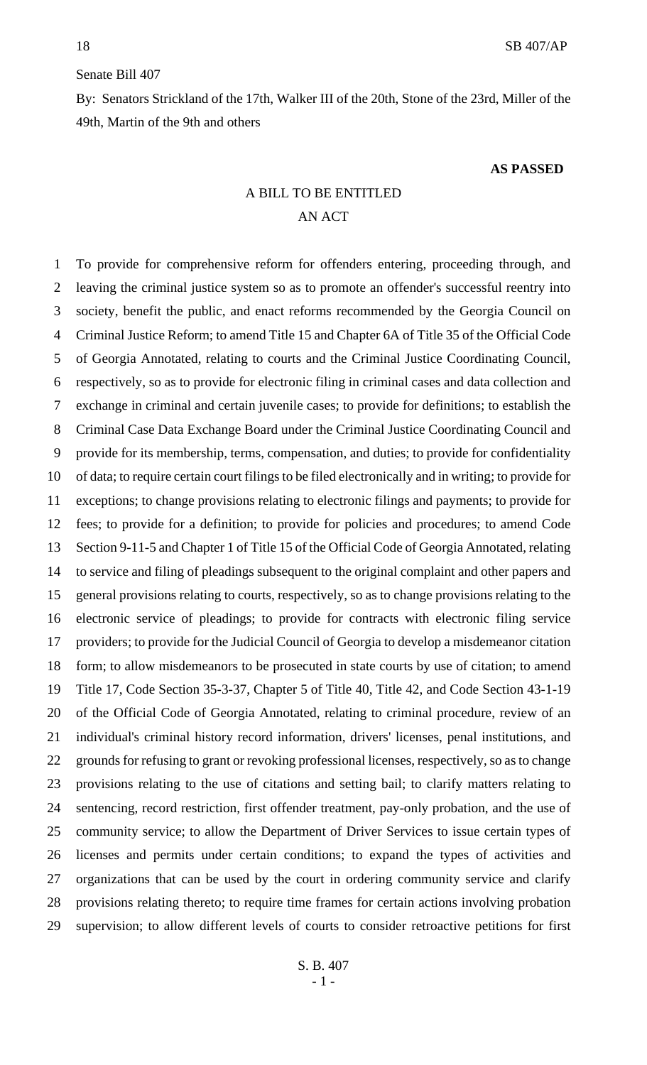### Senate Bill 407

By: Senators Strickland of the 17th, Walker III of the 20th, Stone of the 23rd, Miller of the 49th, Martin of the 9th and others

#### **AS PASSED**

# A BILL TO BE ENTITLED AN ACT

 To provide for comprehensive reform for offenders entering, proceeding through, and leaving the criminal justice system so as to promote an offender's successful reentry into society, benefit the public, and enact reforms recommended by the Georgia Council on Criminal Justice Reform; to amend Title 15 and Chapter 6A of Title 35 of the Official Code of Georgia Annotated, relating to courts and the Criminal Justice Coordinating Council, respectively, so as to provide for electronic filing in criminal cases and data collection and exchange in criminal and certain juvenile cases; to provide for definitions; to establish the Criminal Case Data Exchange Board under the Criminal Justice Coordinating Council and provide for its membership, terms, compensation, and duties; to provide for confidentiality of data; to require certain court filings to be filed electronically and in writing; to provide for exceptions; to change provisions relating to electronic filings and payments; to provide for fees; to provide for a definition; to provide for policies and procedures; to amend Code Section 9-11-5 and Chapter 1 of Title 15 of the Official Code of Georgia Annotated, relating to service and filing of pleadings subsequent to the original complaint and other papers and general provisions relating to courts, respectively, so as to change provisions relating to the electronic service of pleadings; to provide for contracts with electronic filing service providers; to provide for the Judicial Council of Georgia to develop a misdemeanor citation form; to allow misdemeanors to be prosecuted in state courts by use of citation; to amend Title 17, Code Section 35-3-37, Chapter 5 of Title 40, Title 42, and Code Section 43-1-19 of the Official Code of Georgia Annotated, relating to criminal procedure, review of an individual's criminal history record information, drivers' licenses, penal institutions, and grounds for refusing to grant or revoking professional licenses, respectively, so as to change provisions relating to the use of citations and setting bail; to clarify matters relating to sentencing, record restriction, first offender treatment, pay-only probation, and the use of community service; to allow the Department of Driver Services to issue certain types of licenses and permits under certain conditions; to expand the types of activities and organizations that can be used by the court in ordering community service and clarify provisions relating thereto; to require time frames for certain actions involving probation supervision; to allow different levels of courts to consider retroactive petitions for first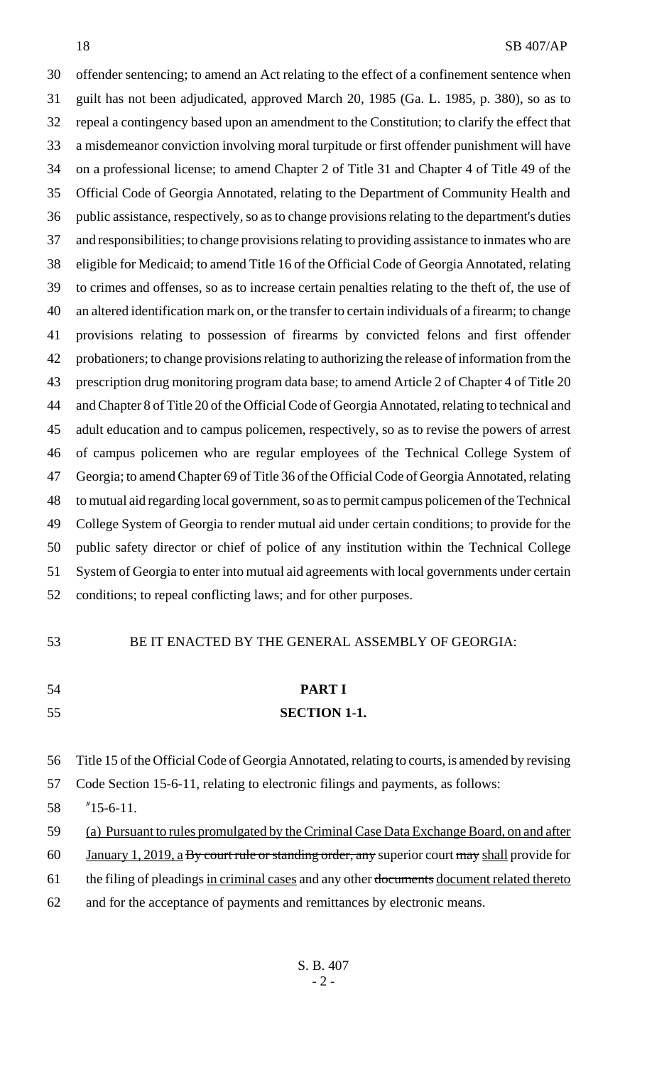offender sentencing; to amend an Act relating to the effect of a confinement sentence when guilt has not been adjudicated, approved March 20, 1985 (Ga. L. 1985, p. 380), so as to repeal a contingency based upon an amendment to the Constitution; to clarify the effect that a misdemeanor conviction involving moral turpitude or first offender punishment will have on a professional license; to amend Chapter 2 of Title 31 and Chapter 4 of Title 49 of the Official Code of Georgia Annotated, relating to the Department of Community Health and public assistance, respectively, so as to change provisions relating to the department's duties and responsibilities; to change provisions relating to providing assistance to inmates who are eligible for Medicaid; to amend Title 16 of the Official Code of Georgia Annotated, relating to crimes and offenses, so as to increase certain penalties relating to the theft of, the use of an altered identification mark on, or the transfer to certain individuals of a firearm; to change provisions relating to possession of firearms by convicted felons and first offender probationers; to change provisions relating to authorizing the release of information from the prescription drug monitoring program data base; to amend Article 2 of Chapter 4 of Title 20 and Chapter 8 of Title 20 of the Official Code of Georgia Annotated, relating to technical and adult education and to campus policemen, respectively, so as to revise the powers of arrest of campus policemen who are regular employees of the Technical College System of Georgia; to amend Chapter 69 of Title 36 of the Official Code of Georgia Annotated, relating to mutual aid regarding local government, so as to permit campus policemen of the Technical College System of Georgia to render mutual aid under certain conditions; to provide for the public safety director or chief of police of any institution within the Technical College System of Georgia to enter into mutual aid agreements with local governments under certain conditions; to repeal conflicting laws; and for other purposes.

#### BE IT ENACTED BY THE GENERAL ASSEMBLY OF GEORGIA:

# **PART I SECTION 1-1.**

- Title 15 of the Official Code of Georgia Annotated, relating to courts, is amended by revising
- Code Section 15-6-11, relating to electronic filings and payments, as follows:
- "15-6-11.
- 59 (a) Pursuant to rules promulgated by the Criminal Case Data Exchange Board, on and after
- 60 January 1, 2019, a By court rule or standing order, any superior court may shall provide for
- 61 the filing of pleadings in criminal cases and any other documents document related thereto
- and for the acceptance of payments and remittances by electronic means.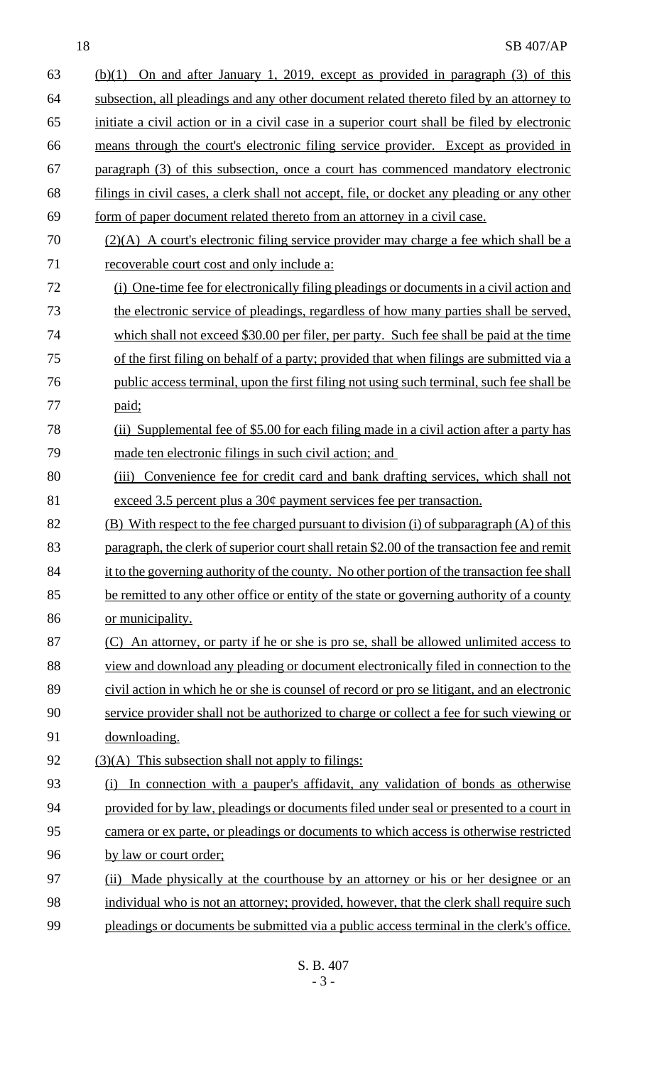| 63 | $(b)(1)$ On and after January 1, 2019, except as provided in paragraph $(3)$ of this        |  |  |
|----|---------------------------------------------------------------------------------------------|--|--|
| 64 | subsection, all pleadings and any other document related thereto filed by an attorney to    |  |  |
| 65 | initiate a civil action or in a civil case in a superior court shall be filed by electronic |  |  |
| 66 | means through the court's electronic filing service provider. Except as provided in         |  |  |
| 67 | paragraph (3) of this subsection, once a court has commenced mandatory electronic           |  |  |
| 68 | filings in civil cases, a clerk shall not accept, file, or docket any pleading or any other |  |  |
| 69 | form of paper document related thereto from an attorney in a civil case.                    |  |  |
| 70 | $(2)(A)$ A court's electronic filing service provider may charge a fee which shall be a     |  |  |
| 71 | recoverable court cost and only include a:                                                  |  |  |
| 72 | (i) One-time fee for electronically filing pleadings or documents in a civil action and     |  |  |
| 73 | the electronic service of pleadings, regardless of how many parties shall be served,        |  |  |
| 74 | which shall not exceed \$30.00 per filer, per party. Such fee shall be paid at the time     |  |  |
| 75 | of the first filing on behalf of a party; provided that when filings are submitted via a    |  |  |
| 76 | public access terminal, upon the first filing not using such terminal, such fee shall be    |  |  |
| 77 | paid;                                                                                       |  |  |
| 78 | (ii) Supplemental fee of \$5.00 for each filing made in a civil action after a party has    |  |  |
| 79 | made ten electronic filings in such civil action; and                                       |  |  |
| 80 | (iii) Convenience fee for credit card and bank drafting services, which shall not           |  |  |
| 81 | exceed $3.5$ percent plus a $30¢$ payment services fee per transaction.                     |  |  |
| 82 | (B) With respect to the fee charged pursuant to division (i) of subparagraph (A) of this    |  |  |
| 83 | paragraph, the clerk of superior court shall retain \$2.00 of the transaction fee and remit |  |  |
| 84 | it to the governing authority of the county. No other portion of the transaction fee shall  |  |  |
| 85 | be remitted to any other office or entity of the state or governing authority of a county   |  |  |
| 86 | or municipality.                                                                            |  |  |
| 87 | (C) An attorney, or party if he or she is pro se, shall be allowed unlimited access to      |  |  |
| 88 | view and download any pleading or document electronically filed in connection to the        |  |  |
| 89 | civil action in which he or she is counsel of record or pro se litigant, and an electronic  |  |  |
| 90 | service provider shall not be authorized to charge or collect a fee for such viewing or     |  |  |
| 91 | downloading.                                                                                |  |  |
| 92 | (3)(A) This subsection shall not apply to filings:                                          |  |  |
| 93 | (i) In connection with a pauper's affidavit, any validation of bonds as otherwise           |  |  |
| 94 | provided for by law, pleadings or documents filed under seal or presented to a court in     |  |  |
| 95 | camera or ex parte, or pleadings or documents to which access is otherwise restricted       |  |  |
| 96 | by law or court order:                                                                      |  |  |
| 97 | Made physically at the courthouse by an attorney or his or her designee or an<br>(ii)       |  |  |
| 98 | individual who is not an attorney; provided, however, that the clerk shall require such     |  |  |
| 99 | pleadings or documents be submitted via a public access terminal in the clerk's office.     |  |  |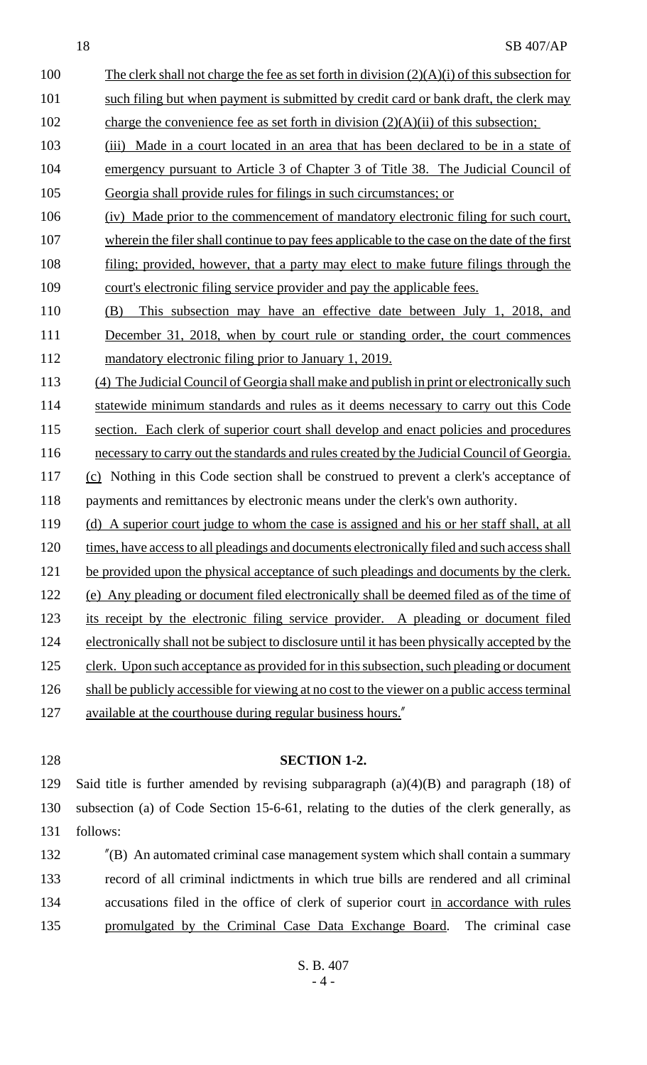100 The clerk shall not charge the fee as set forth in division  $(2)(A)(i)$  of this subsection for 101 such filing but when payment is submitted by credit card or bank draft, the clerk may 102 charge the convenience fee as set forth in division  $(2)(A)(ii)$  of this subsection; 103 (iii) Made in a court located in an area that has been declared to be in a state of 104 emergency pursuant to Article 3 of Chapter 3 of Title 38. The Judicial Council of

105 Georgia shall provide rules for filings in such circumstances; or

106 (iv) Made prior to the commencement of mandatory electronic filing for such court,

- 107 wherein the filer shall continue to pay fees applicable to the case on the date of the first
- 108 filing; provided, however, that a party may elect to make future filings through the 109 court's electronic filing service provider and pay the applicable fees.
- 110 (B) This subsection may have an effective date between July 1, 2018, and 111 December 31, 2018, when by court rule or standing order, the court commences 112 mandatory electronic filing prior to January 1, 2019.
- 113 (4) The Judicial Council of Georgia shall make and publish in print or electronically such
- 114 statewide minimum standards and rules as it deems necessary to carry out this Code
- 115 section. Each clerk of superior court shall develop and enact policies and procedures
- 116 necessary to carry out the standards and rules created by the Judicial Council of Georgia. 117 (c) Nothing in this Code section shall be construed to prevent a clerk's acceptance of
- 118 payments and remittances by electronic means under the clerk's own authority.
- 119 (d) A superior court judge to whom the case is assigned and his or her staff shall, at all
- 120 times, have access to all pleadings and documents electronically filed and such access shall
- 121 be provided upon the physical acceptance of such pleadings and documents by the clerk.
- 122 (e) Any pleading or document filed electronically shall be deemed filed as of the time of
- 123 its receipt by the electronic filing service provider. A pleading or document filed
- 124 electronically shall not be subject to disclosure until it has been physically accepted by the
- 125 clerk. Upon such acceptance as provided for in this subsection, such pleading or document
- 126 shall be publicly accessible for viewing at no cost to the viewer on a public access terminal
- 127 available at the courthouse during regular business hours."
- 

### 128 **SECTION 1-2.**

129 Said title is further amended by revising subparagraph (a)(4)(B) and paragraph (18) of 130 subsection (a) of Code Section 15-6-61, relating to the duties of the clerk generally, as 131 follows:

 "(B) An automated criminal case management system which shall contain a summary record of all criminal indictments in which true bills are rendered and all criminal accusations filed in the office of clerk of superior court in accordance with rules promulgated by the Criminal Case Data Exchange Board. The criminal case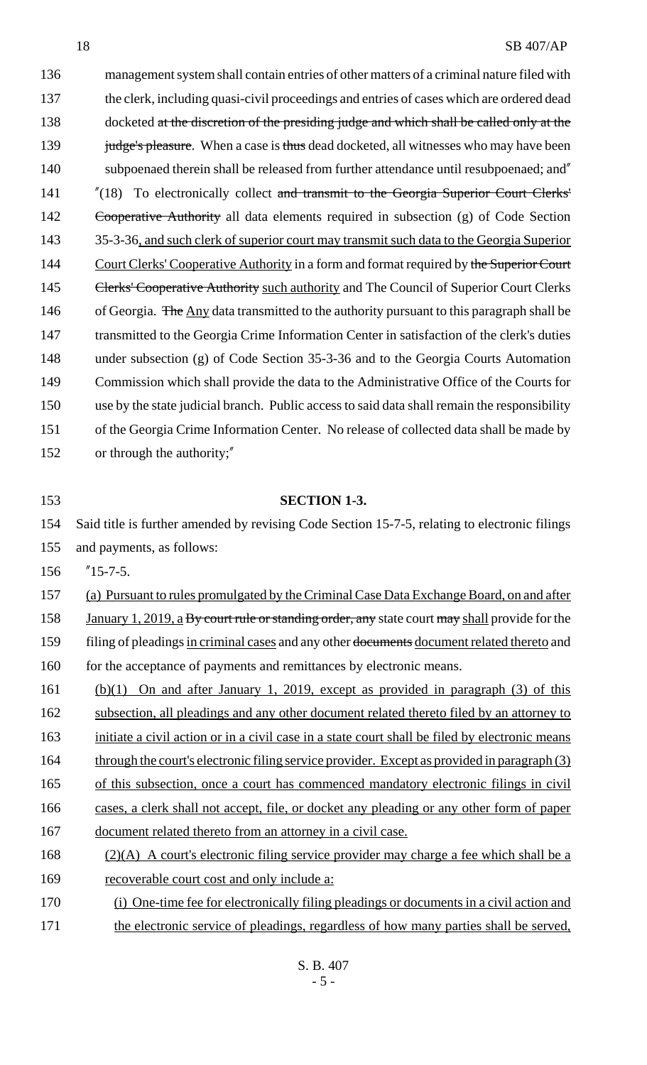136 management system shall contain entries of other matters of a criminal nature filed with 137 the clerk, including quasi-civil proceedings and entries of cases which are ordered dead 138 docketed at the discretion of the presiding judge and which shall be called only at the 139 judge's pleasure. When a case is thus dead docketed, all witnesses who may have been 140 subpoenaed therein shall be released from further attendance until resubpoenaed; and" 141 "(18) To electronically collect and transmit to the Georgia Superior Court Clerks' 142 Cooperative Authority all data elements required in subsection (g) of Code Section 143 35-3-36, and such clerk of superior court may transmit such data to the Georgia Superior 144 Court Clerks' Cooperative Authority in a form and format required by the Superior Court 145 Clerks' Cooperative Authority such authority and The Council of Superior Court Clerks 146 of Georgia. The Any data transmitted to the authority pursuant to this paragraph shall be 147 transmitted to the Georgia Crime Information Center in satisfaction of the clerk's duties 148 under subsection (g) of Code Section 35-3-36 and to the Georgia Courts Automation 149 Commission which shall provide the data to the Administrative Office of the Courts for 150 use by the state judicial branch. Public access to said data shall remain the responsibility 151 of the Georgia Crime Information Center. No release of collected data shall be made by 152 or through the authority;"

#### 153 **SECTION 1-3.**

154 Said title is further amended by revising Code Section 15-7-5, relating to electronic filings 155 and payments, as follows:

156 "15-7-5.

157 (a) Pursuant to rules promulgated by the Criminal Case Data Exchange Board, on and after

158 January 1, 2019, a By court rule or standing order, any state court may shall provide for the

159 filing of pleadings in criminal cases and any other documents document related thereto and

- 160 for the acceptance of payments and remittances by electronic means.
- 161 (b)(1) On and after January 1, 2019, except as provided in paragraph (3) of this 162 subsection, all pleadings and any other document related thereto filed by an attorney to 163 initiate a civil action or in a civil case in a state court shall be filed by electronic means 164 through the court's electronic filing service provider. Except as provided in paragraph (3) 165 of this subsection, once a court has commenced mandatory electronic filings in civil 166 cases, a clerk shall not accept, file, or docket any pleading or any other form of paper 167 document related thereto from an attorney in a civil case.
- 168 (2)(A) A court's electronic filing service provider may charge a fee which shall be a 169 recoverable court cost and only include a:
- 170 (i) One-time fee for electronically filing pleadings or documents in a civil action and 171 the electronic service of pleadings, regardless of how many parties shall be served,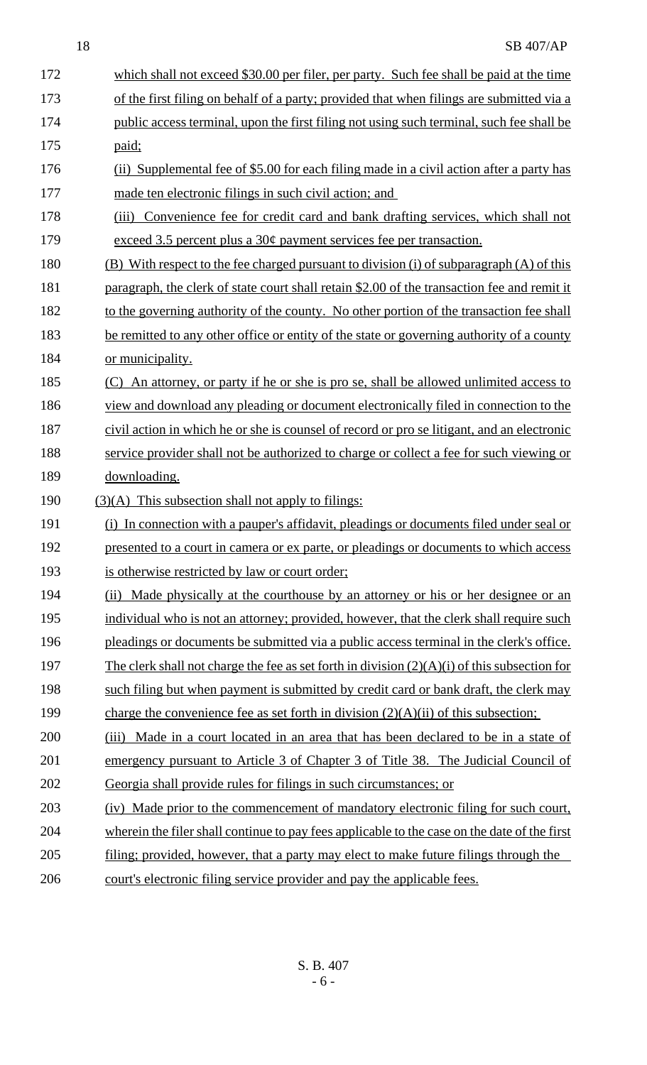| 172 | which shall not exceed \$30.00 per filer, per party. Such fee shall be paid at the time        |  |  |
|-----|------------------------------------------------------------------------------------------------|--|--|
| 173 | of the first filing on behalf of a party; provided that when filings are submitted via a       |  |  |
| 174 | public access terminal, upon the first filing not using such terminal, such fee shall be       |  |  |
| 175 | paid;                                                                                          |  |  |
| 176 | (ii) Supplemental fee of \$5.00 for each filing made in a civil action after a party has       |  |  |
| 177 | made ten electronic filings in such civil action; and                                          |  |  |
| 178 | (iii) Convenience fee for credit card and bank drafting services, which shall not              |  |  |
| 179 | exceed 3.5 percent plus a $30¢$ payment services fee per transaction.                          |  |  |
| 180 | (B) With respect to the fee charged pursuant to division (i) of subparagraph (A) of this       |  |  |
| 181 | paragraph, the clerk of state court shall retain \$2.00 of the transaction fee and remit it    |  |  |
| 182 | to the governing authority of the county. No other portion of the transaction fee shall        |  |  |
| 183 | be remitted to any other office or entity of the state or governing authority of a county      |  |  |
| 184 | or municipality.                                                                               |  |  |
| 185 | (C) An attorney, or party if he or she is pro se, shall be allowed unlimited access to         |  |  |
| 186 | view and download any pleading or document electronically filed in connection to the           |  |  |
| 187 | civil action in which he or she is counsel of record or pro se litigant, and an electronic     |  |  |
| 188 | service provider shall not be authorized to charge or collect a fee for such viewing or        |  |  |
| 189 | downloading.                                                                                   |  |  |
| 190 | $(3)(A)$ This subsection shall not apply to filings:                                           |  |  |
| 191 | (i) In connection with a pauper's affidavit, pleadings or documents filed under seal or        |  |  |
| 192 | presented to a court in camera or ex parte, or pleadings or documents to which access          |  |  |
| 193 | is otherwise restricted by law or court order;                                                 |  |  |
| 194 | (ii) Made physically at the courthouse by an attorney or his or her designee or an             |  |  |
| 195 | individual who is not an attorney; provided, however, that the clerk shall require such        |  |  |
| 196 | pleadings or documents be submitted via a public access terminal in the clerk's office.        |  |  |
| 197 | The clerk shall not charge the fee as set forth in division $(2)(A)(i)$ of this subsection for |  |  |
| 198 | such filing but when payment is submitted by credit card or bank draft, the clerk may          |  |  |
| 199 | charge the convenience fee as set forth in division $(2)(A)(ii)$ of this subsection;           |  |  |
| 200 | Made in a court located in an area that has been declared to be in a state of<br>(iii)         |  |  |
| 201 | emergency pursuant to Article 3 of Chapter 3 of Title 38. The Judicial Council of              |  |  |
| 202 | Georgia shall provide rules for filings in such circumstances; or                              |  |  |
| 203 | (iv) Made prior to the commencement of mandatory electronic filing for such court,             |  |  |
| 204 | wherein the filer shall continue to pay fees applicable to the case on the date of the first   |  |  |
| 205 | filing; provided, however, that a party may elect to make future filings through the           |  |  |
| 206 | court's electronic filing service provider and pay the applicable fees.                        |  |  |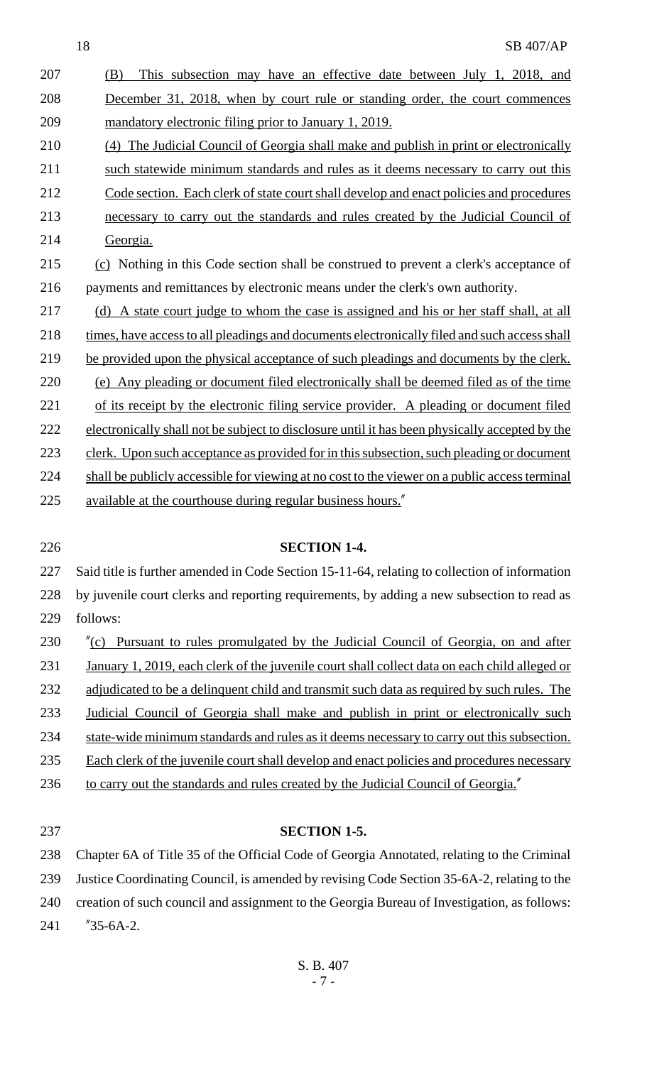- (B) This subsection may have an effective date between July 1, 2018, and December 31, 2018, when by court rule or standing order, the court commences mandatory electronic filing prior to January 1, 2019. (4) The Judicial Council of Georgia shall make and publish in print or electronically 211 such statewide minimum standards and rules as it deems necessary to carry out this Code section. Each clerk of state court shall develop and enact policies and procedures necessary to carry out the standards and rules created by the Judicial Council of Georgia.
- (c) Nothing in this Code section shall be construed to prevent a clerk's acceptance of payments and remittances by electronic means under the clerk's own authority.
- (d) A state court judge to whom the case is assigned and his or her staff shall, at all 218 times, have access to all pleadings and documents electronically filed and such access shall 219 be provided upon the physical acceptance of such pleadings and documents by the clerk. (e) Any pleading or document filed electronically shall be deemed filed as of the time 221 of its receipt by the electronic filing service provider. A pleading or document filed 222 electronically shall not be subject to disclosure until it has been physically accepted by the 223 clerk. Upon such acceptance as provided for in this subsection, such pleading or document 224 shall be publicly accessible for viewing at no cost to the viewer on a public access terminal available at the courthouse during regular business hours."
- 

#### **SECTION 1-4.**

 Said title is further amended in Code Section 15-11-64, relating to collection of information by juvenile court clerks and reporting requirements, by adding a new subsection to read as follows:

- "(c) Pursuant to rules promulgated by the Judicial Council of Georgia, on and after January 1, 2019, each clerk of the juvenile court shall collect data on each child alleged or 232 adjudicated to be a delinquent child and transmit such data as required by such rules. The Judicial Council of Georgia shall make and publish in print or electronically such 234 state-wide minimum standards and rules as it deems necessary to carry out this subsection. 235 Each clerk of the juvenile court shall develop and enact policies and procedures necessary 236 to carry out the standards and rules created by the Judicial Council of Georgia."
- 

#### **SECTION 1-5.**

 Chapter 6A of Title 35 of the Official Code of Georgia Annotated, relating to the Criminal Justice Coordinating Council, is amended by revising Code Section 35-6A-2, relating to the creation of such council and assignment to the Georgia Bureau of Investigation, as follows: "35-6A-2.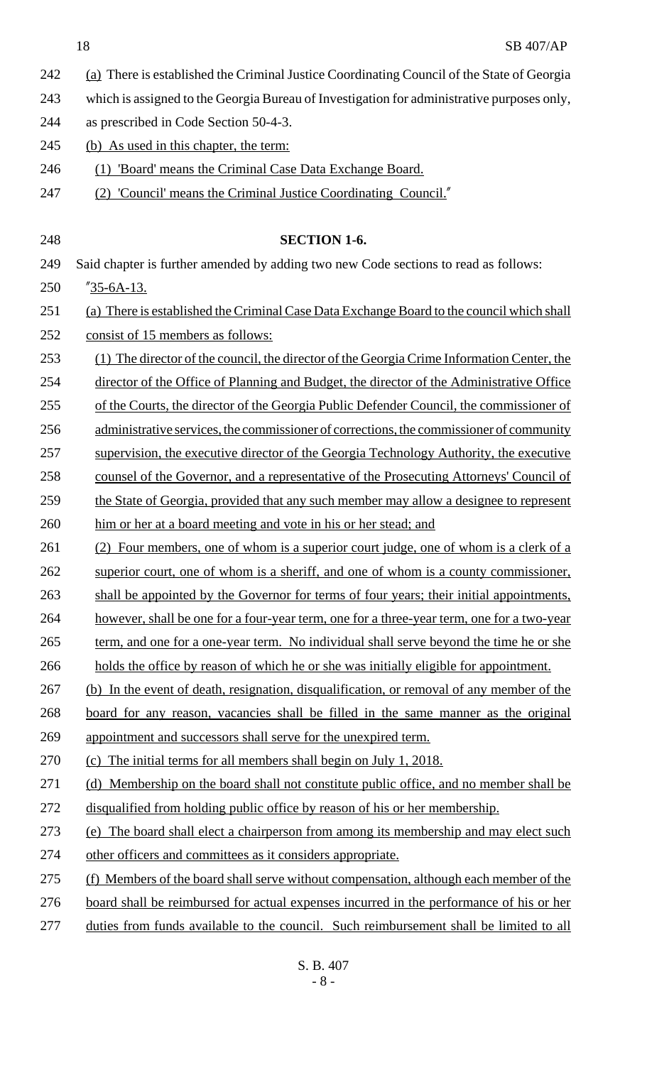- 242 (a) There is established the Criminal Justice Coordinating Council of the State of Georgia
- 243 which is assigned to the Georgia Bureau of Investigation for administrative purposes only,
- 244 as prescribed in Code Section 50-4-3.
- 245 (b) As used in this chapter, the term:
- 246 (1) 'Board' means the Criminal Case Data Exchange Board.
- 247 (2) 'Council' means the Criminal Justice Coordinating Council."

248 **SECTION 1-6.** 249 Said chapter is further amended by adding two new Code sections to read as follows: 250 "35-6A-13. 251 (a) There is established the Criminal Case Data Exchange Board to the council which shall 252 consist of 15 members as follows: 253 (1) The director of the council, the director of the Georgia Crime Information Center, the 254 director of the Office of Planning and Budget, the director of the Administrative Office 255 of the Courts, the director of the Georgia Public Defender Council, the commissioner of 256 administrative services, the commissioner of corrections, the commissioner of community 257 supervision, the executive director of the Georgia Technology Authority, the executive 258 counsel of the Governor, and a representative of the Prosecuting Attorneys' Council of 259 the State of Georgia, provided that any such member may allow a designee to represent 260 him or her at a board meeting and vote in his or her stead; and 261 (2) Four members, one of whom is a superior court judge, one of whom is a clerk of a 262 superior court, one of whom is a sheriff, and one of whom is a county commissioner, 263 shall be appointed by the Governor for terms of four years; their initial appointments, 264 however, shall be one for a four-year term, one for a three-year term, one for a two-year 265 term, and one for a one-year term. No individual shall serve beyond the time he or she 266 holds the office by reason of which he or she was initially eligible for appointment. 267 (b) In the event of death, resignation, disqualification, or removal of any member of the 268 board for any reason, vacancies shall be filled in the same manner as the original 269 appointment and successors shall serve for the unexpired term. 270 (c) The initial terms for all members shall begin on July 1, 2018. 271 (d) Membership on the board shall not constitute public office, and no member shall be 272 disqualified from holding public office by reason of his or her membership. 273 (e) The board shall elect a chairperson from among its membership and may elect such 274 other officers and committees as it considers appropriate. 275 (f) Members of the board shall serve without compensation, although each member of the 276 board shall be reimbursed for actual expenses incurred in the performance of his or her 277 duties from funds available to the council. Such reimbursement shall be limited to all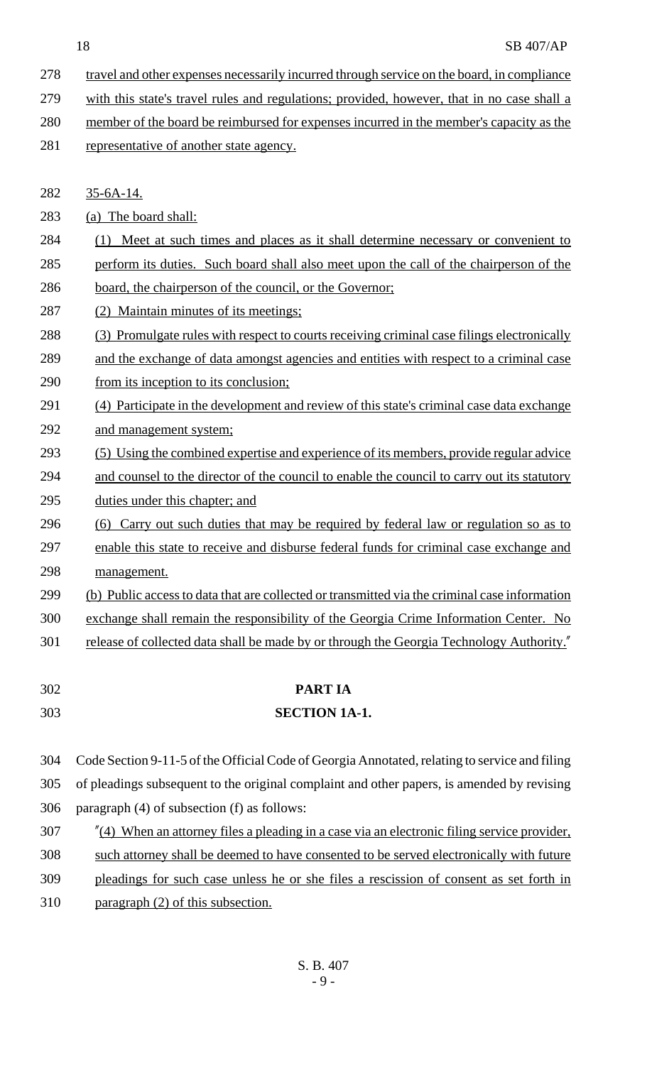- 278 travel and other expenses necessarily incurred through service on the board, in compliance
- 279 with this state's travel rules and regulations; provided, however, that in no case shall a
- member of the board be reimbursed for expenses incurred in the member's capacity as the 281 representative of another state agency.
- 35-6A-14.

(a) The board shall:

- (1) Meet at such times and places as it shall determine necessary or convenient to
- perform its duties. Such board shall also meet upon the call of the chairperson of the
- 286 board, the chairperson of the council, or the Governor;
- (2) Maintain minutes of its meetings;
- (3) Promulgate rules with respect to courts receiving criminal case filings electronically
- and the exchange of data amongst agencies and entities with respect to a criminal case 290 from its inception to its conclusion;
- (4) Participate in the development and review of this state's criminal case data exchange and management system;
- (5) Using the combined expertise and experience of its members, provide regular advice and counsel to the director of the council to enable the council to carry out its statutory duties under this chapter; and
- (6) Carry out such duties that may be required by federal law or regulation so as to enable this state to receive and disburse federal funds for criminal case exchange and management.
- (b) Public access to data that are collected or transmitted via the criminal case information
- exchange shall remain the responsibility of the Georgia Crime Information Center. No
- 301 release of collected data shall be made by or through the Georgia Technology Authority.
- 

# **PART IA**

**SECTION 1A-1.**

 Code Section 9-11-5 of the Official Code of Georgia Annotated, relating to service and filing of pleadings subsequent to the original complaint and other papers, is amended by revising

- paragraph (4) of subsection (f) as follows:
- "(4) When an attorney files a pleading in a case via an electronic filing service provider,
- such attorney shall be deemed to have consented to be served electronically with future
- pleadings for such case unless he or she files a rescission of consent as set forth in
- paragraph (2) of this subsection.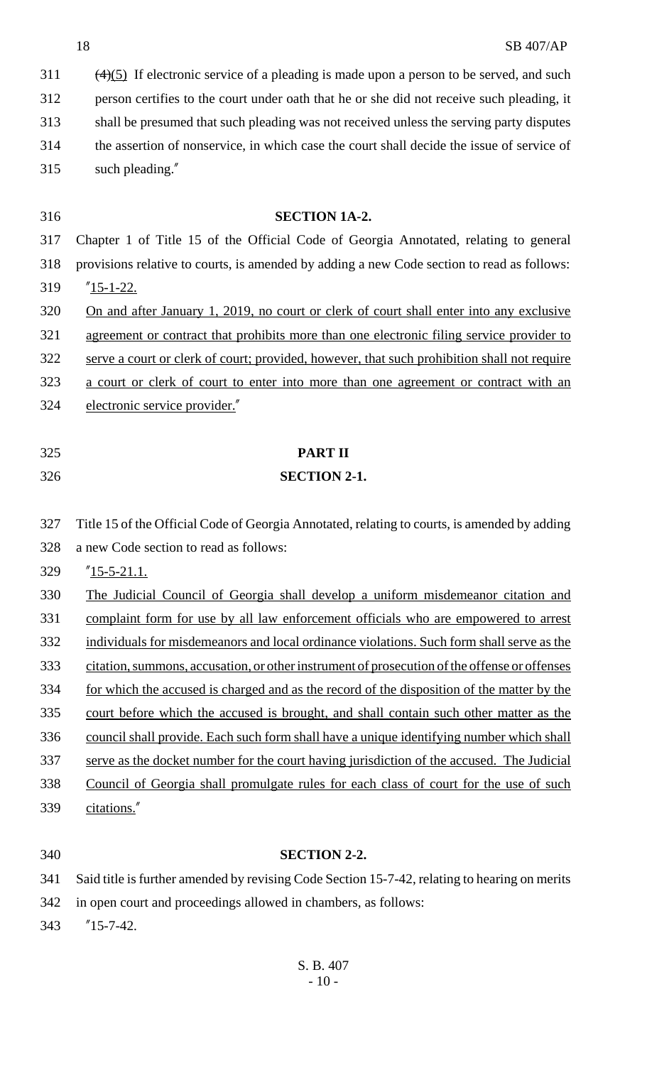$(4)(5)$  If electronic service of a pleading is made upon a person to be served, and such person certifies to the court under oath that he or she did not receive such pleading, it shall be presumed that such pleading was not received unless the serving party disputes the assertion of nonservice, in which case the court shall decide the issue of service of such pleading."

 **SECTION 1A-2.** Chapter 1 of Title 15 of the Official Code of Georgia Annotated, relating to general provisions relative to courts, is amended by adding a new Code section to read as follows: "15-1-22. On and after January 1, 2019, no court or clerk of court shall enter into any exclusive agreement or contract that prohibits more than one electronic filing service provider to serve a court or clerk of court; provided, however, that such prohibition shall not require a court or clerk of court to enter into more than one agreement or contract with an electronic service provider."

- 
- 

## **PART II**

### **SECTION 2-1.**

 Title 15 of the Official Code of Georgia Annotated, relating to courts, is amended by adding a new Code section to read as follows:

"15-5-21.1.

 The Judicial Council of Georgia shall develop a uniform misdemeanor citation and complaint form for use by all law enforcement officials who are empowered to arrest individuals for misdemeanors and local ordinance violations. Such form shall serve as the citation, summons, accusation, or other instrument of prosecution of the offense or offenses for which the accused is charged and as the record of the disposition of the matter by the court before which the accused is brought, and shall contain such other matter as the council shall provide. Each such form shall have a unique identifying number which shall serve as the docket number for the court having jurisdiction of the accused. The Judicial Council of Georgia shall promulgate rules for each class of court for the use of such citations."

### **SECTION 2-2.**

Said title is further amended by revising Code Section 15-7-42, relating to hearing on merits

in open court and proceedings allowed in chambers, as follows:

"15-7-42.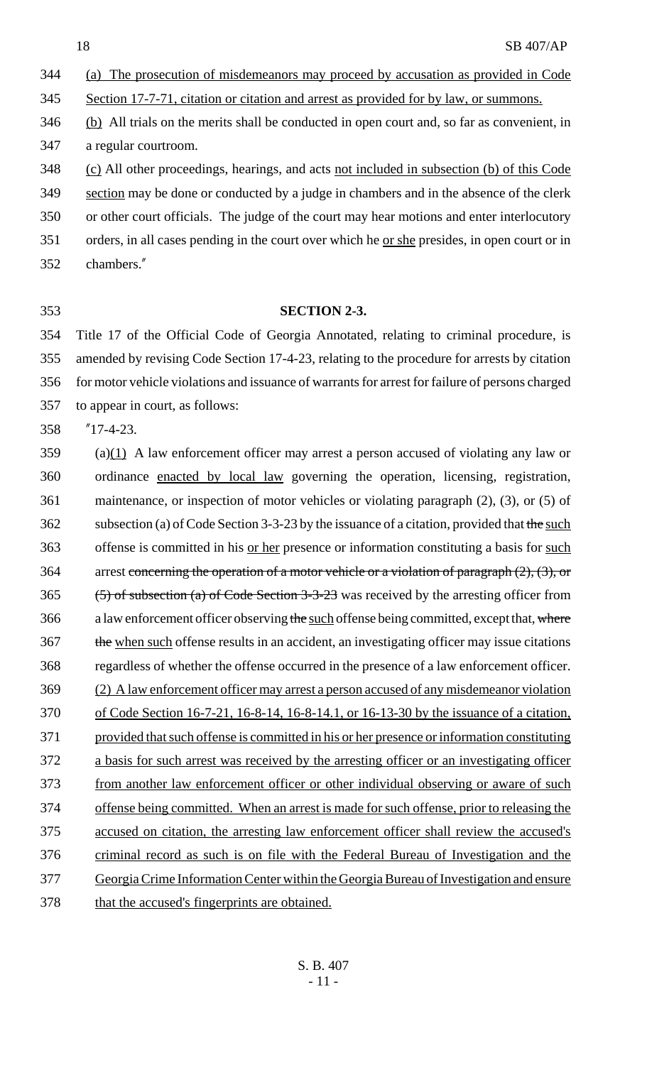(a) The prosecution of misdemeanors may proceed by accusation as provided in Code

Section 17-7-71, citation or citation and arrest as provided for by law, or summons.

 (b) All trials on the merits shall be conducted in open court and, so far as convenient, in a regular courtroom.

 (c) All other proceedings, hearings, and acts not included in subsection (b) of this Code section may be done or conducted by a judge in chambers and in the absence of the clerk or other court officials. The judge of the court may hear motions and enter interlocutory

orders, in all cases pending in the court over which he or she presides, in open court or in

- chambers."
- 

### **SECTION 2-3.**

 Title 17 of the Official Code of Georgia Annotated, relating to criminal procedure, is amended by revising Code Section 17-4-23, relating to the procedure for arrests by citation for motor vehicle violations and issuance of warrants for arrest for failure of persons charged to appear in court, as follows:

"17-4-23.

 (a)(1) A law enforcement officer may arrest a person accused of violating any law or ordinance enacted by local law governing the operation, licensing, registration, maintenance, or inspection of motor vehicles or violating paragraph (2), (3), or (5) of 362 subsection (a) of Code Section 3-3-23 by the issuance of a citation, provided that the such 363 offense is committed in his <u>or her</u> presence or information constituting a basis for such 364 arrest concerning the operation of a motor vehicle or a violation of paragraph  $(2)$ ,  $(3)$ , or (5) of subsection (a) of Code Section 3-3-23 was received by the arresting officer from 366 a law enforcement officer observing the such offense being committed, except that, where 367 the when such offense results in an accident, an investigating officer may issue citations regardless of whether the offense occurred in the presence of a law enforcement officer. (2) A law enforcement officer may arrest a person accused of any misdemeanor violation of Code Section 16-7-21, 16-8-14, 16-8-14.1, or 16-13-30 by the issuance of a citation, provided that such offense is committed in his or her presence or information constituting a basis for such arrest was received by the arresting officer or an investigating officer from another law enforcement officer or other individual observing or aware of such offense being committed. When an arrest is made for such offense, prior to releasing the accused on citation, the arresting law enforcement officer shall review the accused's criminal record as such is on file with the Federal Bureau of Investigation and the Georgia Crime Information Center within the Georgia Bureau of Investigation and ensure that the accused's fingerprints are obtained.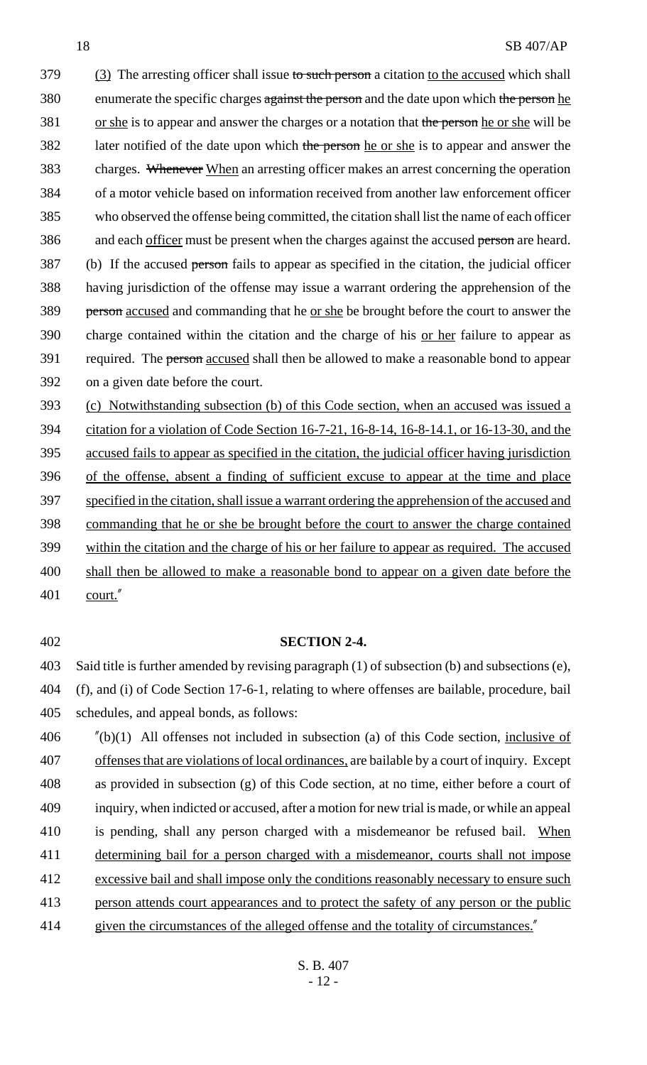379 (3) The arresting officer shall issue to such person a citation to the accused which shall 380 enumerate the specific charges against the person and the date upon which the person he 381 or she is to appear and answer the charges or a notation that the person he or she will be 382 later notified of the date upon which the person he or she is to appear and answer the charges. Whenever When an arresting officer makes an arrest concerning the operation of a motor vehicle based on information received from another law enforcement officer who observed the offense being committed, the citation shall list the name of each officer 386 and each officer must be present when the charges against the accused person are heard. (b) If the accused person fails to appear as specified in the citation, the judicial officer having jurisdiction of the offense may issue a warrant ordering the apprehension of the person accused and commanding that he or she be brought before the court to answer the 390 charge contained within the citation and the charge of his <u>or her</u> failure to appear as 391 required. The person accused shall then be allowed to make a reasonable bond to appear on a given date before the court.

 (c) Notwithstanding subsection (b) of this Code section, when an accused was issued a citation for a violation of Code Section 16-7-21, 16-8-14, 16-8-14.1, or 16-13-30, and the accused fails to appear as specified in the citation, the judicial officer having jurisdiction of the offense, absent a finding of sufficient excuse to appear at the time and place specified in the citation, shall issue a warrant ordering the apprehension of the accused and commanding that he or she be brought before the court to answer the charge contained within the citation and the charge of his or her failure to appear as required. The accused 400 shall then be allowed to make a reasonable bond to appear on a given date before the court."

#### **SECTION 2-4.**

 Said title is further amended by revising paragraph (1) of subsection (b) and subsections (e), (f), and (i) of Code Section 17-6-1, relating to where offenses are bailable, procedure, bail schedules, and appeal bonds, as follows:

 "(b)(1) All offenses not included in subsection (a) of this Code section, inclusive of offenses that are violations of local ordinances, are bailable by a court of inquiry. Except as provided in subsection (g) of this Code section, at no time, either before a court of inquiry, when indicted or accused, after a motion for new trial is made, or while an appeal 410 is pending, shall any person charged with a misdemeanor be refused bail. When determining bail for a person charged with a misdemeanor, courts shall not impose excessive bail and shall impose only the conditions reasonably necessary to ensure such person attends court appearances and to protect the safety of any person or the public 414 given the circumstances of the alleged offense and the totality of circumstances.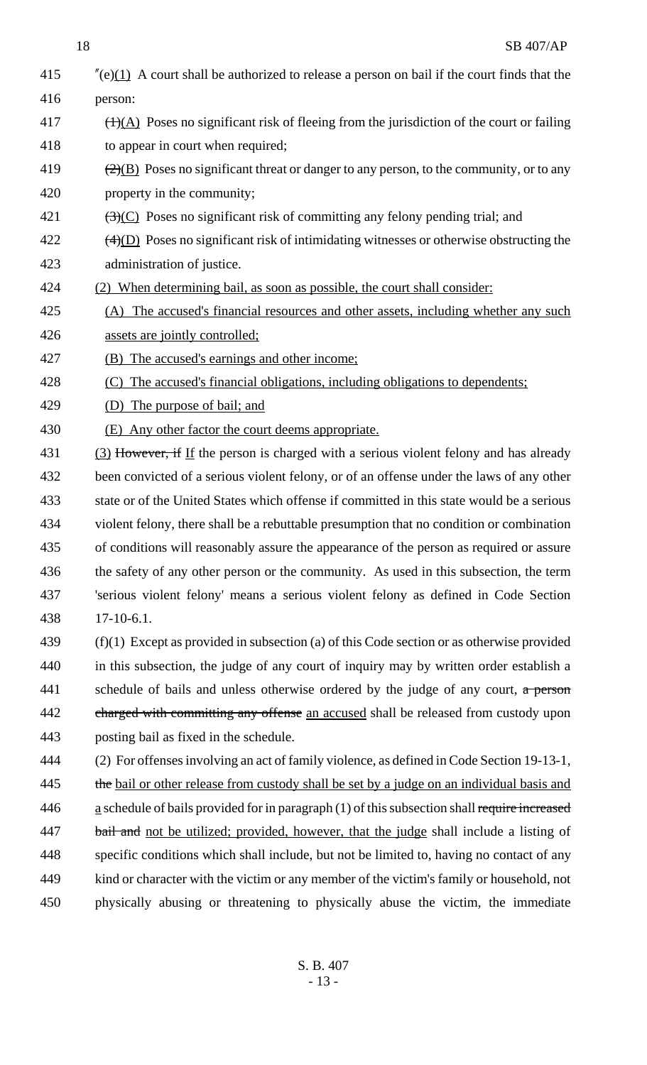18 SB 407/AP  $\frac{d}{2}$  (e)(1) A court shall be authorized to release a person on bail if the court finds that the person:  $\frac{(1)(A)}{(1)(A)}$  Poses no significant risk of fleeing from the jurisdiction of the court or failing 418 to appear in court when required;  $\left(2\right)(B)$  Poses no significant threat or danger to any person, to the community, or to any property in the community;  $\left(3\right)(C)$  Poses no significant risk of committing any felony pending trial; and  $\frac{(4)}{D}$  Poses no significant risk of intimidating witnesses or otherwise obstructing the administration of justice. (2) When determining bail, as soon as possible, the court shall consider: (A) The accused's financial resources and other assets, including whether any such assets are jointly controlled; (B) The accused's earnings and other income; (C) The accused's financial obligations, including obligations to dependents; (D) The purpose of bail; and (E) Any other factor the court deems appropriate.  $(3)$  However, if If the person is charged with a serious violent felony and has already been convicted of a serious violent felony, or of an offense under the laws of any other state or of the United States which offense if committed in this state would be a serious violent felony, there shall be a rebuttable presumption that no condition or combination of conditions will reasonably assure the appearance of the person as required or assure the safety of any other person or the community. As used in this subsection, the term 'serious violent felony' means a serious violent felony as defined in Code Section 17-10-6.1. (f)(1) Except as provided in subsection (a) of this Code section or as otherwise provided in this subsection, the judge of any court of inquiry may by written order establish a 441 schedule of bails and unless otherwise ordered by the judge of any court, a person 442 charged with committing any offense an accused shall be released from custody upon posting bail as fixed in the schedule. (2) For offenses involving an act of family violence, as defined in Code Section 19-13-1, 445 the bail or other release from custody shall be set by a judge on an individual basis and  $a$  schedule of bails provided for in paragraph (1) of this subsection shall require increased 447 bail and not be utilized; provided, however, that the judge shall include a listing of specific conditions which shall include, but not be limited to, having no contact of any kind or character with the victim or any member of the victim's family or household, not physically abusing or threatening to physically abuse the victim, the immediate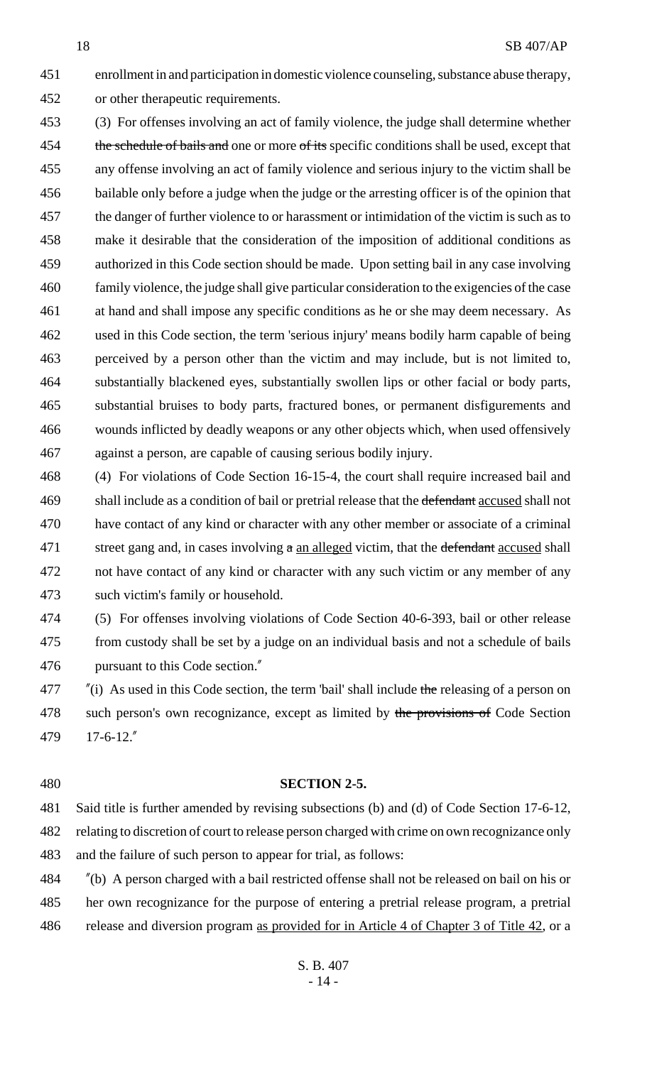enrollment in and participation in domestic violence counseling, substance abuse therapy, or other therapeutic requirements.

 (3) For offenses involving an act of family violence, the judge shall determine whether 454 the schedule of bails and one or more of its specific conditions shall be used, except that any offense involving an act of family violence and serious injury to the victim shall be bailable only before a judge when the judge or the arresting officer is of the opinion that the danger of further violence to or harassment or intimidation of the victim is such as to make it desirable that the consideration of the imposition of additional conditions as authorized in this Code section should be made. Upon setting bail in any case involving family violence, the judge shall give particular consideration to the exigencies of the case at hand and shall impose any specific conditions as he or she may deem necessary. As used in this Code section, the term 'serious injury' means bodily harm capable of being perceived by a person other than the victim and may include, but is not limited to, substantially blackened eyes, substantially swollen lips or other facial or body parts, substantial bruises to body parts, fractured bones, or permanent disfigurements and wounds inflicted by deadly weapons or any other objects which, when used offensively against a person, are capable of causing serious bodily injury.

 (4) For violations of Code Section 16-15-4, the court shall require increased bail and 469 shall include as a condition of bail or pretrial release that the defendant accused shall not have contact of any kind or character with any other member or associate of a criminal 471 street gang and, in cases involving  $\alpha$  an alleged victim, that the defendant accused shall not have contact of any kind or character with any such victim or any member of any such victim's family or household.

 (5) For offenses involving violations of Code Section 40-6-393, bail or other release from custody shall be set by a judge on an individual basis and not a schedule of bails pursuant to this Code section."

 "(i) As used in this Code section, the term 'bail' shall include the releasing of a person on 478 such person's own recognizance, except as limited by the provisions of Code Section 17-6-12."

#### **SECTION 2-5.**

 Said title is further amended by revising subsections (b) and (d) of Code Section 17-6-12, relating to discretion of court to release person charged with crime on own recognizance only and the failure of such person to appear for trial, as follows:

 "(b) A person charged with a bail restricted offense shall not be released on bail on his or her own recognizance for the purpose of entering a pretrial release program, a pretrial 486 release and diversion program as provided for in Article 4 of Chapter 3 of Title 42, or a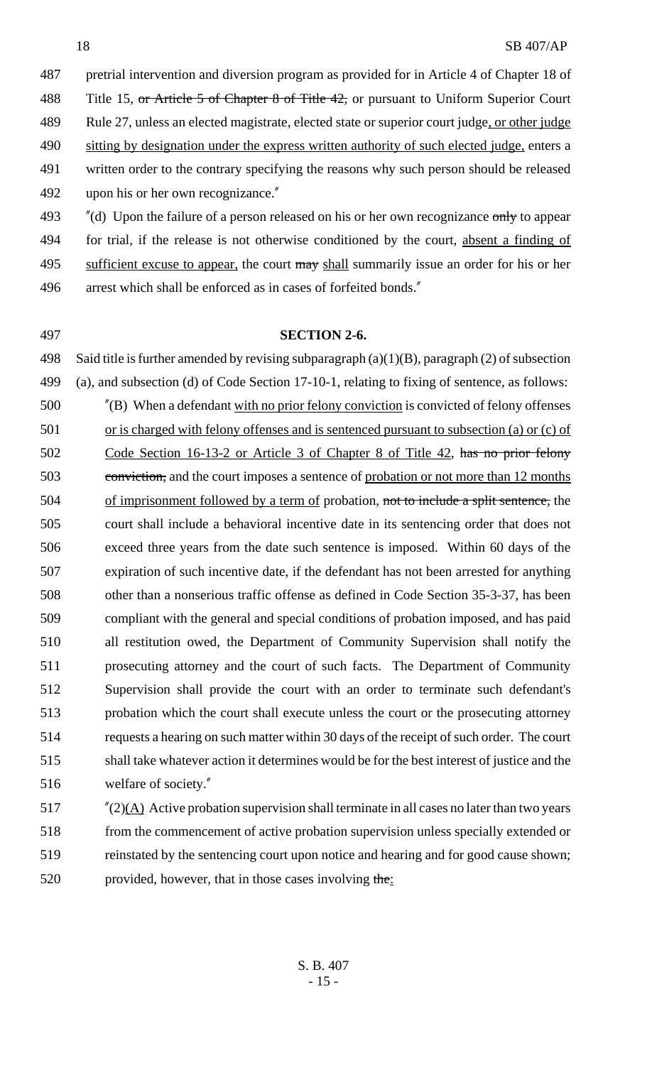pretrial intervention and diversion program as provided for in Article 4 of Chapter 18 of 488 Title 15, or Article 5 of Chapter 8 of Title 42, or pursuant to Uniform Superior Court Rule 27, unless an elected magistrate, elected state or superior court judge, or other judge 490 sitting by designation under the express written authority of such elected judge, enters a written order to the contrary specifying the reasons why such person should be released upon his or her own recognizance." 493 "(d) Upon the failure of a person released on his or her own recognizance only to appear

 for trial, if the release is not otherwise conditioned by the court, absent a finding of 495 sufficient excuse to appear, the court may shall summarily issue an order for his or her arrest which shall be enforced as in cases of forfeited bonds."

#### **SECTION 2-6.**

 Said title is further amended by revising subparagraph (a)(1)(B), paragraph (2) of subsection (a), and subsection (d) of Code Section 17-10-1, relating to fixing of sentence, as follows:

 "(B) When a defendant with no prior felony conviction is convicted of felony offenses or is charged with felony offenses and is sentenced pursuant to subsection (a) or (c) of Code Section 16-13-2 or Article 3 of Chapter 8 of Title 42, has no prior felony conviction, and the court imposes a sentence of probation or not more than 12 months 504 of imprisonment followed by a term of probation, not to include a split sentence, the court shall include a behavioral incentive date in its sentencing order that does not exceed three years from the date such sentence is imposed. Within 60 days of the expiration of such incentive date, if the defendant has not been arrested for anything other than a nonserious traffic offense as defined in Code Section 35-3-37, has been compliant with the general and special conditions of probation imposed, and has paid all restitution owed, the Department of Community Supervision shall notify the prosecuting attorney and the court of such facts. The Department of Community Supervision shall provide the court with an order to terminate such defendant's probation which the court shall execute unless the court or the prosecuting attorney requests a hearing on such matter within 30 days of the receipt of such order. The court shall take whatever action it determines would be for the best interest of justice and the welfare of society."

 $\frac{\pi}{2}(\underline{A})$  Active probation supervision shall terminate in all cases no later than two years from the commencement of active probation supervision unless specially extended or reinstated by the sentencing court upon notice and hearing and for good cause shown; 520 provided, however, that in those cases involving the: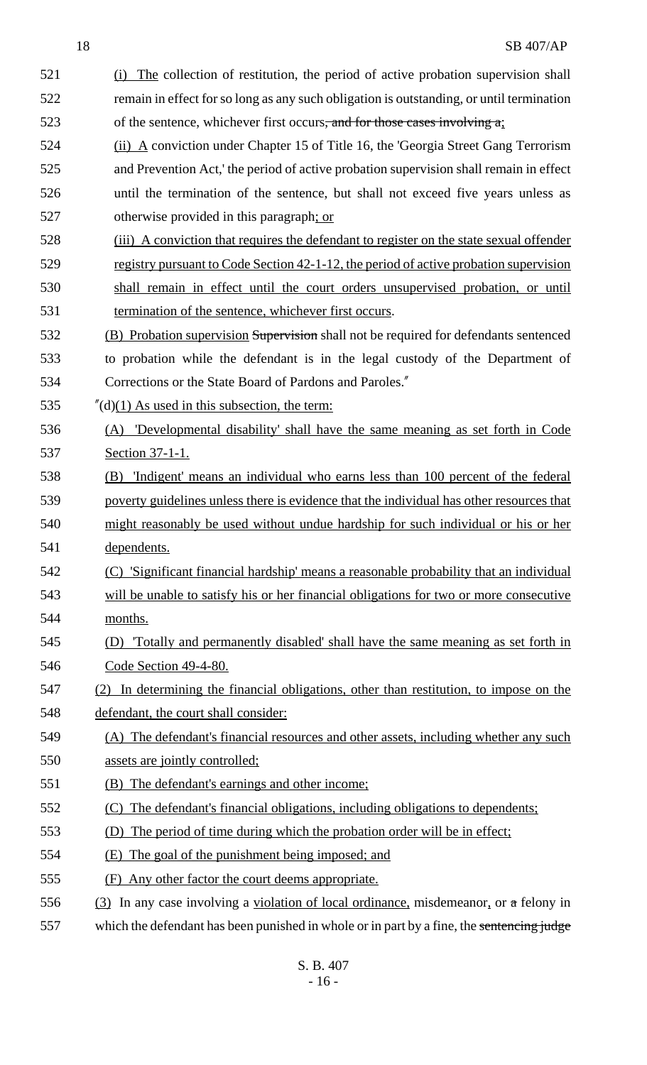- 521 (i) The collection of restitution, the period of active probation supervision shall 522 remain in effect for so long as any such obligation is outstanding, or until termination 523 of the sentence, whichever first occurs<del>, and for those cases involving a</del>; (ii) A conviction under Chapter 15 of Title 16, the 'Georgia Street Gang Terrorism and Prevention Act,' the period of active probation supervision shall remain in effect until the termination of the sentence, but shall not exceed five years unless as otherwise provided in this paragraph; or (iii) A conviction that requires the defendant to register on the state sexual offender 529 registry pursuant to Code Section 42-1-12, the period of active probation supervision shall remain in effect until the court orders unsupervised probation, or until termination of the sentence, whichever first occurs. (B) Probation supervision Supervision shall not be required for defendants sentenced to probation while the defendant is in the legal custody of the Department of Corrections or the State Board of Pardons and Paroles." 535  $\frac{\pi}{d}(d)(1)$  As used in this subsection, the term: (A) 'Developmental disability' shall have the same meaning as set forth in Code Section 37-1-1. (B) 'Indigent' means an individual who earns less than 100 percent of the federal poverty guidelines unless there is evidence that the individual has other resources that might reasonably be used without undue hardship for such individual or his or her dependents. (C) 'Significant financial hardship' means a reasonable probability that an individual will be unable to satisfy his or her financial obligations for two or more consecutive months. (D) 'Totally and permanently disabled' shall have the same meaning as set forth in Code Section 49-4-80. (2) In determining the financial obligations, other than restitution, to impose on the defendant, the court shall consider: (A) The defendant's financial resources and other assets, including whether any such assets are jointly controlled; (B) The defendant's earnings and other income; (C) The defendant's financial obligations, including obligations to dependents; (D) The period of time during which the probation order will be in effect; (E) The goal of the punishment being imposed; and (F) Any other factor the court deems appropriate. (3) In any case involving a violation of local ordinance, misdemeanor, or a felony in 557 which the defendant has been punished in whole or in part by a fine, the sentencing judge
	- S. B. 407 - 16 -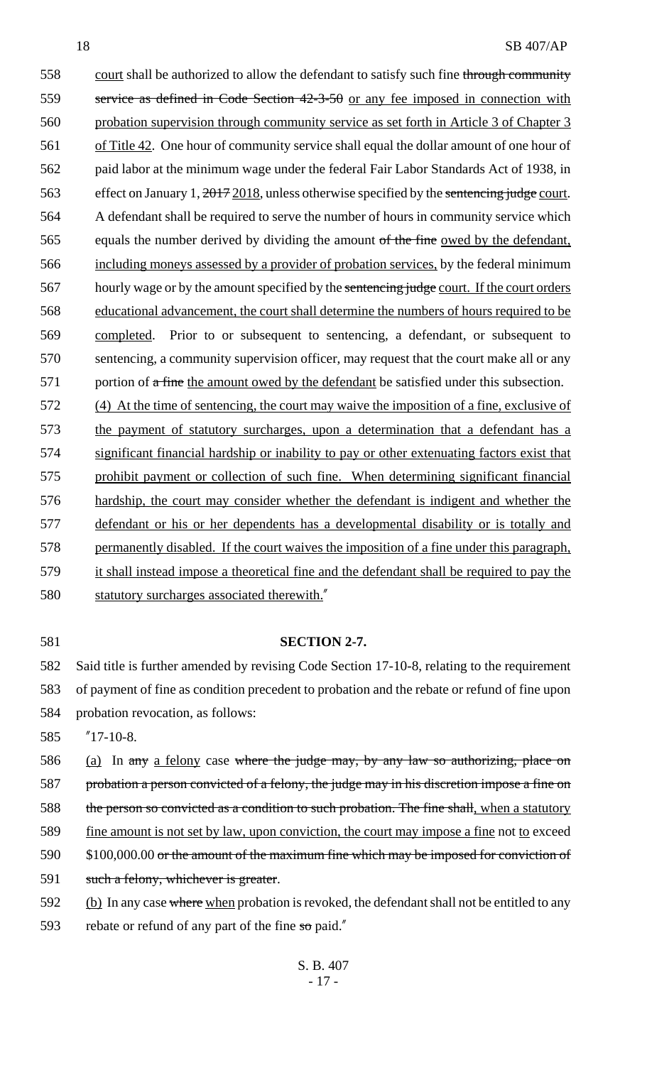558 court shall be authorized to allow the defendant to satisfy such fine through community 559 service as defined in Code Section 42-3-50 or any fee imposed in connection with 560 probation supervision through community service as set forth in Article 3 of Chapter 3 561 of Title 42. One hour of community service shall equal the dollar amount of one hour of 562 paid labor at the minimum wage under the federal Fair Labor Standards Act of 1938, in 563 effect on January 1,  $\frac{2017}{2018}$ , unless otherwise specified by the sentencing judge court. 564 A defendant shall be required to serve the number of hours in community service which 565 equals the number derived by dividing the amount of the fine owed by the defendant, 566 including moneys assessed by a provider of probation services, by the federal minimum 567 hourly wage or by the amount specified by the sentencing judge court. If the court orders 568 educational advancement, the court shall determine the numbers of hours required to be 569 completed. Prior to or subsequent to sentencing, a defendant, or subsequent to 570 sentencing, a community supervision officer, may request that the court make all or any 571 portion of a fine the amount owed by the defendant be satisfied under this subsection. 572 (4) At the time of sentencing, the court may waive the imposition of a fine, exclusive of

 the payment of statutory surcharges, upon a determination that a defendant has a significant financial hardship or inability to pay or other extenuating factors exist that prohibit payment or collection of such fine. When determining significant financial hardship, the court may consider whether the defendant is indigent and whether the defendant or his or her dependents has a developmental disability or is totally and 578 permanently disabled. If the court waives the imposition of a fine under this paragraph, it shall instead impose a theoretical fine and the defendant shall be required to pay the 580 statutory surcharges associated therewith."

#### 581 **SECTION 2-7.**

582 Said title is further amended by revising Code Section 17-10-8, relating to the requirement 583 of payment of fine as condition precedent to probation and the rebate or refund of fine upon 584 probation revocation, as follows:

585 "17-10-8.

586 (a) In any a felony case where the judge may, by any law so authorizing, place on 587 probation a person convicted of a felony, the judge may in his discretion impose a fine on 588 the person so convicted as a condition to such probation. The fine shall, when a statutory 589 fine amount is not set by law, upon conviction, the court may impose a fine not to exceed 590 \$100,000.00 or the amount of the maximum fine which may be imposed for conviction of 591 such a felony, whichever is greater.

592 (b) In any case where when probation is revoked, the defendant shall not be entitled to any

593 rebate or refund of any part of the fine  $\pi$  paid."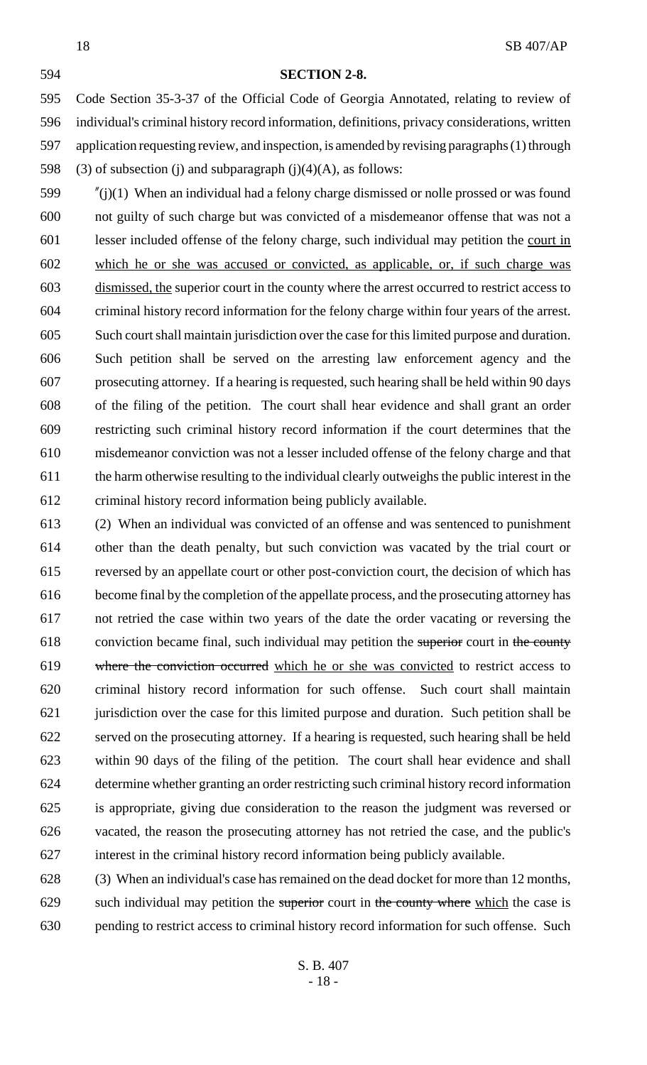#### **SECTION 2-8.**

 Code Section 35-3-37 of the Official Code of Georgia Annotated, relating to review of individual's criminal history record information, definitions, privacy considerations, written application requesting review, and inspection, is amended by revising paragraphs (1) through 598 (3) of subsection (j) and subparagraph (j)(4)(A), as follows:

 "(j)(1) When an individual had a felony charge dismissed or nolle prossed or was found not guilty of such charge but was convicted of a misdemeanor offense that was not a lesser included offense of the felony charge, such individual may petition the court in which he or she was accused or convicted, as applicable, or, if such charge was dismissed, the superior court in the county where the arrest occurred to restrict access to criminal history record information for the felony charge within four years of the arrest. Such court shall maintain jurisdiction over the case for this limited purpose and duration. Such petition shall be served on the arresting law enforcement agency and the prosecuting attorney. If a hearing is requested, such hearing shall be held within 90 days of the filing of the petition. The court shall hear evidence and shall grant an order restricting such criminal history record information if the court determines that the misdemeanor conviction was not a lesser included offense of the felony charge and that the harm otherwise resulting to the individual clearly outweighs the public interest in the criminal history record information being publicly available.

 (2) When an individual was convicted of an offense and was sentenced to punishment other than the death penalty, but such conviction was vacated by the trial court or reversed by an appellate court or other post-conviction court, the decision of which has become final by the completion of the appellate process, and the prosecuting attorney has not retried the case within two years of the date the order vacating or reversing the 618 conviction became final, such individual may petition the superior court in the county where the conviction occurred which he or she was convicted to restrict access to criminal history record information for such offense. Such court shall maintain jurisdiction over the case for this limited purpose and duration. Such petition shall be served on the prosecuting attorney. If a hearing is requested, such hearing shall be held within 90 days of the filing of the petition. The court shall hear evidence and shall determine whether granting an order restricting such criminal history record information is appropriate, giving due consideration to the reason the judgment was reversed or vacated, the reason the prosecuting attorney has not retried the case, and the public's interest in the criminal history record information being publicly available.

 (3) When an individual's case has remained on the dead docket for more than 12 months, 629 such individual may petition the superior court in the county where which the case is pending to restrict access to criminal history record information for such offense. Such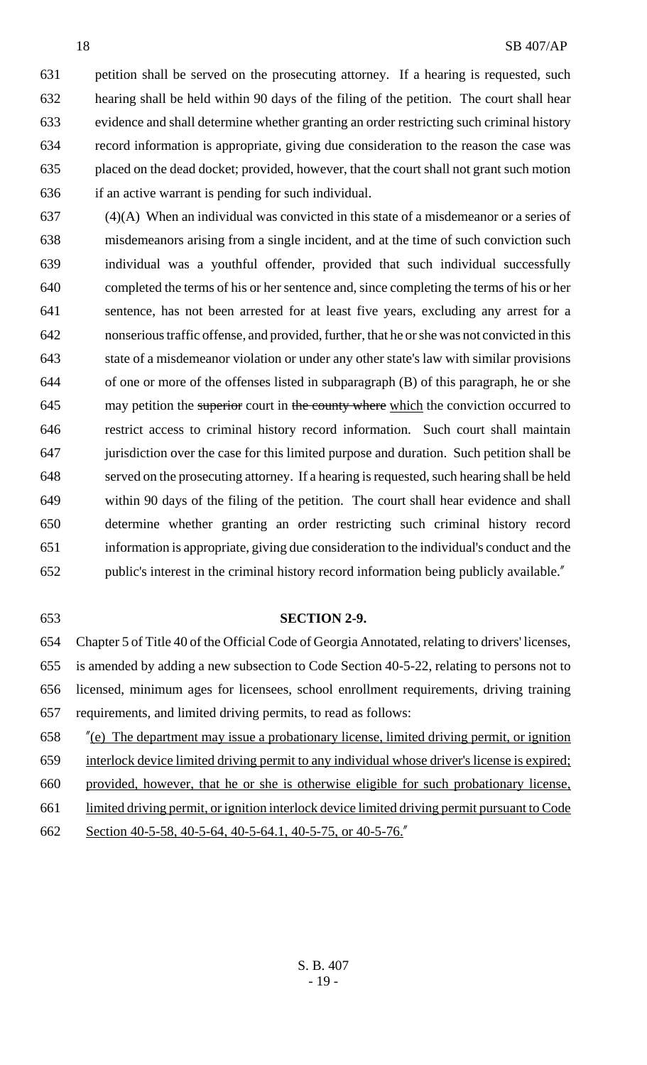petition shall be served on the prosecuting attorney. If a hearing is requested, such hearing shall be held within 90 days of the filing of the petition. The court shall hear evidence and shall determine whether granting an order restricting such criminal history record information is appropriate, giving due consideration to the reason the case was placed on the dead docket; provided, however, that the court shall not grant such motion if an active warrant is pending for such individual.

 (4)(A) When an individual was convicted in this state of a misdemeanor or a series of misdemeanors arising from a single incident, and at the time of such conviction such individual was a youthful offender, provided that such individual successfully completed the terms of his or her sentence and, since completing the terms of his or her sentence, has not been arrested for at least five years, excluding any arrest for a nonserious traffic offense, and provided, further, that he or she was not convicted in this state of a misdemeanor violation or under any other state's law with similar provisions of one or more of the offenses listed in subparagraph (B) of this paragraph, he or she 645 may petition the superior court in the county where which the conviction occurred to restrict access to criminal history record information. Such court shall maintain jurisdiction over the case for this limited purpose and duration. Such petition shall be served on the prosecuting attorney. If a hearing is requested, such hearing shall be held within 90 days of the filing of the petition. The court shall hear evidence and shall determine whether granting an order restricting such criminal history record information is appropriate, giving due consideration to the individual's conduct and the public's interest in the criminal history record information being publicly available."

#### **SECTION 2-9.**

 Chapter 5 of Title 40 of the Official Code of Georgia Annotated, relating to drivers' licenses, is amended by adding a new subsection to Code Section 40-5-22, relating to persons not to licensed, minimum ages for licensees, school enrollment requirements, driving training requirements, and limited driving permits, to read as follows:

 "(e) The department may issue a probationary license, limited driving permit, or ignition interlock device limited driving permit to any individual whose driver's license is expired; provided, however, that he or she is otherwise eligible for such probationary license, limited driving permit, or ignition interlock device limited driving permit pursuant to Code 662 Section 40-5-58, 40-5-64, 40-5-64.1, 40-5-75, or 40-5-76.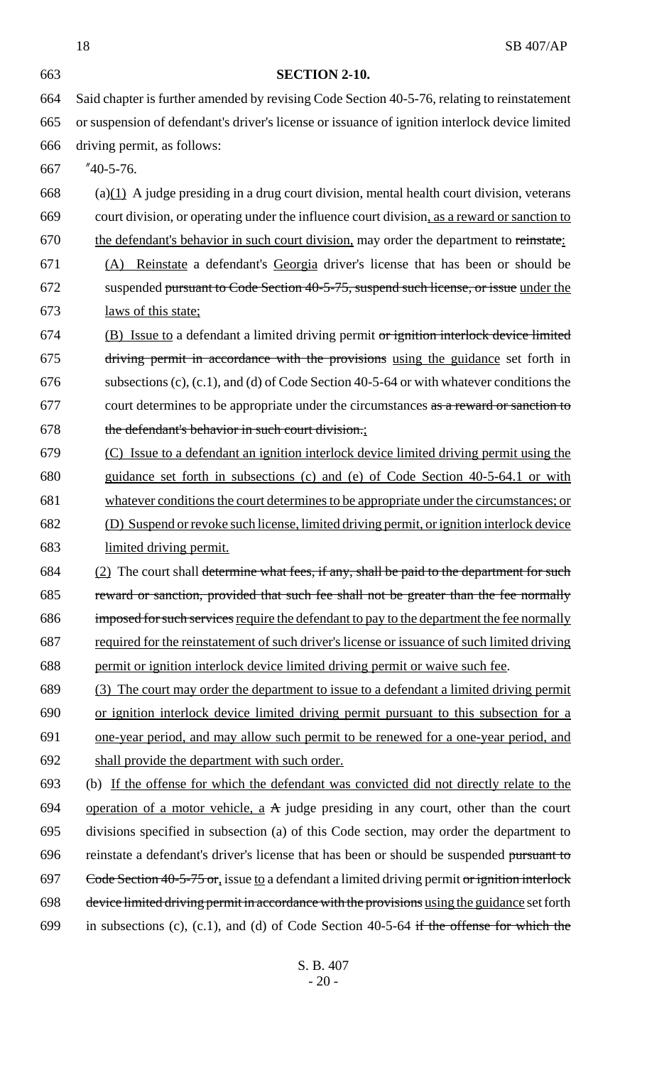18 SB 407/AP **SECTION 2-10.** Said chapter is further amended by revising Code Section 40-5-76, relating to reinstatement or suspension of defendant's driver's license or issuance of ignition interlock device limited driving permit, as follows: "40-5-76. 668 (a) $(1)$  A judge presiding in a drug court division, mental health court division, veterans court division, or operating under the influence court division, as a reward or sanction to 670 the defendant's behavior in such court division, may order the department to reinstate: (A) Reinstate a defendant's Georgia driver's license that has been or should be 672 suspended pursuant to Code Section 40-5-75, suspend such license, or issue under the laws of this state; (B) Issue to a defendant a limited driving permit or ignition interlock device limited driving permit in accordance with the provisions using the guidance set forth in subsections (c), (c.1), and (d) of Code Section 40-5-64 or with whatever conditions the court determines to be appropriate under the circumstances as a reward or sanction to the defendant's behavior in such court division.; (C) Issue to a defendant an ignition interlock device limited driving permit using the guidance set forth in subsections (c) and (e) of Code Section 40-5-64.1 or with whatever conditions the court determines to be appropriate under the circumstances; or (D) Suspend or revoke such license, limited driving permit, or ignition interlock device limited driving permit.  $(2)$  The court shall determine what fees, if any, shall be paid to the department for such reward or sanction, provided that such fee shall not be greater than the fee normally imposed for such services require the defendant to pay to the department the fee normally required for the reinstatement of such driver's license or issuance of such limited driving permit or ignition interlock device limited driving permit or waive such fee. (3) The court may order the department to issue to a defendant a limited driving permit or ignition interlock device limited driving permit pursuant to this subsection for a one-year period, and may allow such permit to be renewed for a one-year period, and shall provide the department with such order. (b) If the offense for which the defendant was convicted did not directly relate to the 694 operation of a motor vehicle,  $a \nightharpoonup a$  judge presiding in any court, other than the court divisions specified in subsection (a) of this Code section, may order the department to 696 reinstate a defendant's driver's license that has been or should be suspended pursuant to 697 Code Section 40-5-75 or, issue to a defendant a limited driving permit or ignition interlock device limited driving permit in accordance with the provisions using the guidance set forth 699 in subsections (c), (c.1), and (d) of Code Section 40-5-64 if the offense for which the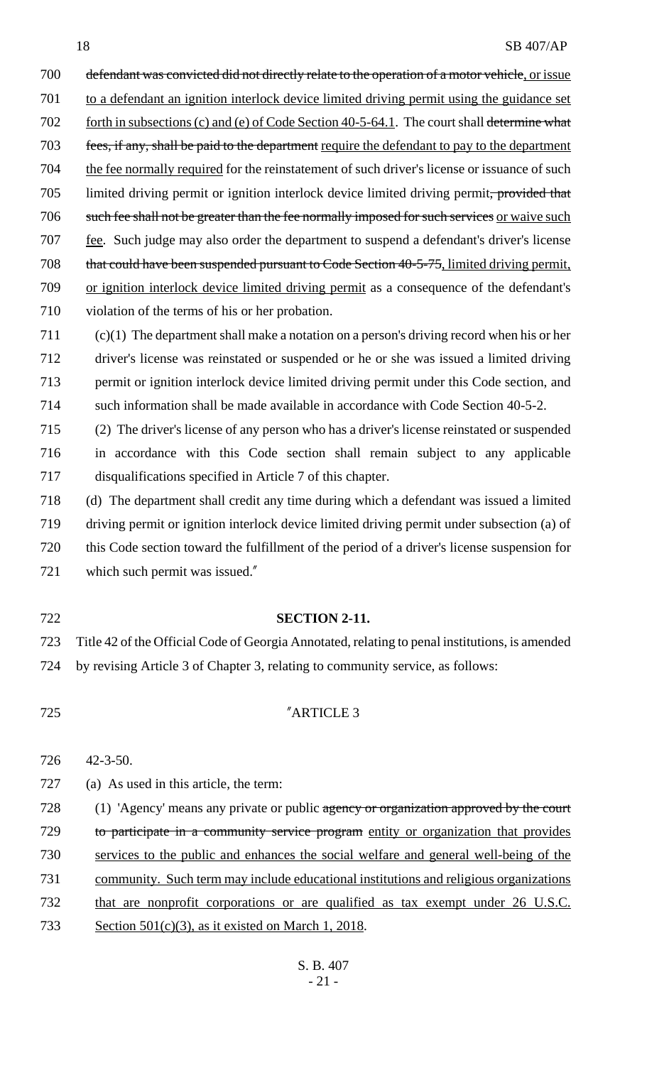| 700 | defendant was convicted did not directly relate to the operation of a motor vehicle, or issue      |
|-----|----------------------------------------------------------------------------------------------------|
| 701 | to a defendant an ignition interlock device limited driving permit using the guidance set          |
| 702 | <u>forth in subsections (c) and (e) of Code Section 40-5-64.1</u> . The court shall determine what |
| 703 | fees, if any, shall be paid to the department require the defendant to pay to the department       |
| 704 | the fee normally required for the reinstatement of such driver's license or issuance of such       |
| 705 | limited driving permit or ignition interlock device limited driving permit, provided that          |
| 706 | such fee shall not be greater than the fee normally imposed for such services or waive such        |
| 707 | fee. Such judge may also order the department to suspend a defendant's driver's license            |
| 708 | that could have been suspended pursuant to Code Section 40-5-75, limited driving permit,           |
| 709 | or ignition interlock device limited driving permit as a consequence of the defendant's            |
| 710 | violation of the terms of his or her probation.                                                    |
| 711 | $(c)(1)$ The department shall make a notation on a person's driving record when his or her         |
| 712 | driver's license was reinstated or suspended or he or she was issued a limited driving             |
| 713 | permit or ignition interlock device limited driving permit under this Code section, and            |
| 714 | such information shall be made available in accordance with Code Section 40-5-2.                   |
| 715 | (2) The driver's license of any person who has a driver's license reinstated or suspended          |
|     |                                                                                                    |

716 in accordance with this Code section shall remain subject to any applicable 717 disqualifications specified in Article 7 of this chapter.

 (d) The department shall credit any time during which a defendant was issued a limited driving permit or ignition interlock device limited driving permit under subsection (a) of this Code section toward the fulfillment of the period of a driver's license suspension for which such permit was issued."

#### 722 **SECTION 2-11.**

723 Title 42 of the Official Code of Georgia Annotated, relating to penal institutions, is amended 724 by revising Article 3 of Chapter 3, relating to community service, as follows:

#### 725 "ARTICLE 3

726 42-3-50.

727 (a) As used in this article, the term:

728 (1) 'Agency' means any private or public agency or organization approved by the court 729 to participate in a community service program entity or organization that provides 730 services to the public and enhances the social welfare and general well-being of the 731 community. Such term may include educational institutions and religious organizations 732 that are nonprofit corporations or are qualified as tax exempt under 26 U.S.C. 733 Section 501(c)(3), as it existed on March 1, 2018.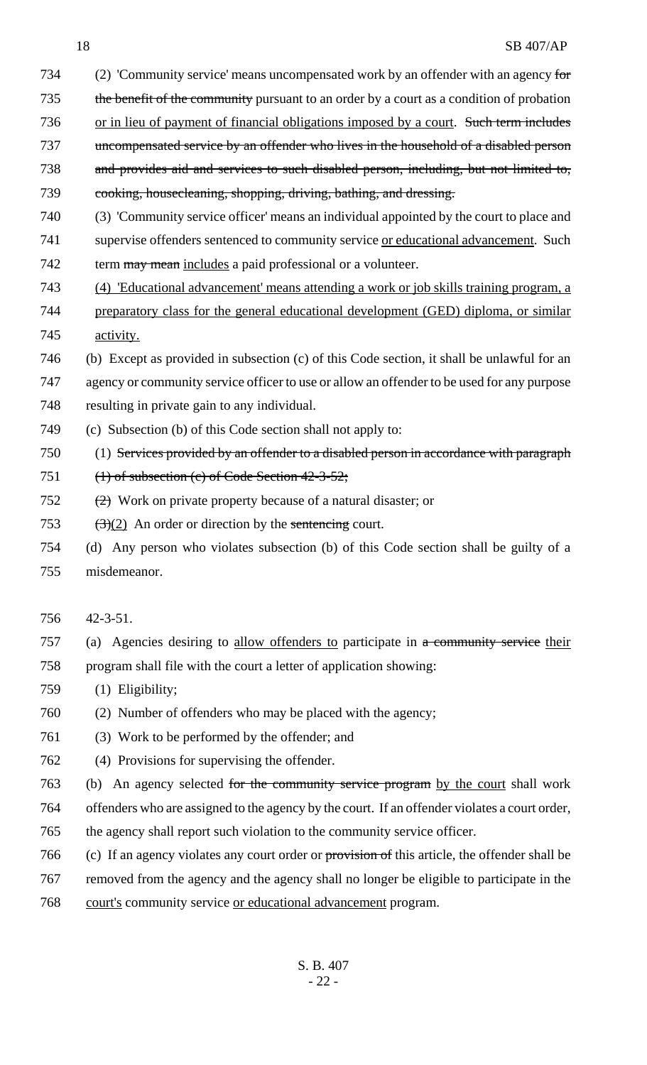- 734 (2) 'Community service' means uncompensated work by an offender with an agency for 735 the benefit of the community pursuant to an order by a court as a condition of probation 736 or in lieu of payment of financial obligations imposed by a court. Such term includes 737 uncompensated service by an offender who lives in the household of a disabled person and provides aid and services to such disabled person, including, but not limited to, cooking, housecleaning, shopping, driving, bathing, and dressing.
- (3) 'Community service officer' means an individual appointed by the court to place and
- 741 supervise offenders sentenced to community service or educational advancement. Such
- 742 term may mean includes a paid professional or a volunteer.
- (4) 'Educational advancement' means attending a work or job skills training program, a preparatory class for the general educational development (GED) diploma, or similar activity.
- (b) Except as provided in subsection (c) of this Code section, it shall be unlawful for an

 agency or community service officer to use or allow an offender to be used for any purpose resulting in private gain to any individual.

- (c) Subsection (b) of this Code section shall not apply to:
- (1) Services provided by an offender to a disabled person in accordance with paragraph
- (1) of subsection (c) of Code Section 42-3-52;
- (2) Work on private property because of a natural disaster; or
- 753  $\left(\frac{3}{2}\right)$  An order or direction by the sentencing court.
- (d) Any person who violates subsection (b) of this Code section shall be guilty of a misdemeanor.
- 42-3-51.
- (a) Agencies desiring to allow offenders to participate in a community service their program shall file with the court a letter of application showing:
- (1) Eligibility;
- (2) Number of offenders who may be placed with the agency;
- (3) Work to be performed by the offender; and
- (4) Provisions for supervising the offender.
- (b) An agency selected for the community service program by the court shall work
- offenders who are assigned to the agency by the court. If an offender violates a court order,
- the agency shall report such violation to the community service officer.
- (c) If an agency violates any court order or provision of this article, the offender shall be
- removed from the agency and the agency shall no longer be eligible to participate in the
- court's community service or educational advancement program.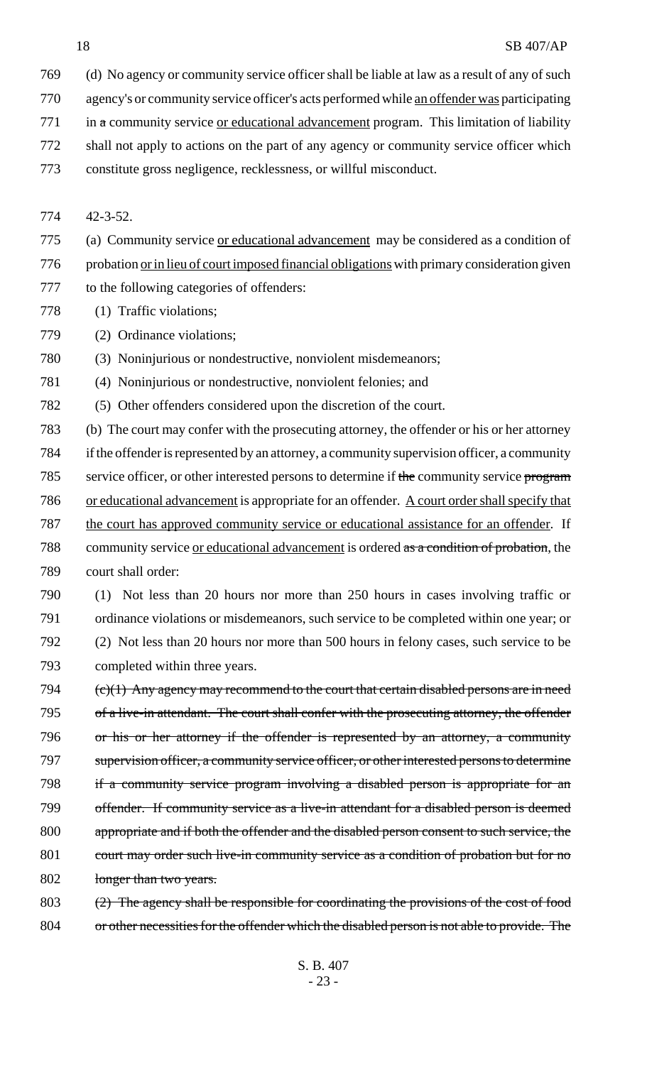- (d) No agency or community service officer shall be liable at law as a result of any of such
- agency's or community service officer's acts performed while an offender was participating
- in a community service <u>or educational advancement</u> program. This limitation of liability
- shall not apply to actions on the part of any agency or community service officer which
- constitute gross negligence, recklessness, or willful misconduct.

42-3-52.

- (a) Community service or educational advancement may be considered as a condition of
- 776 probation <u>or in lieu of court imposed financial obligations</u> with primary consideration given
- to the following categories of offenders:
- 778 (1) Traffic violations;
- (2) Ordinance violations;
- (3) Noninjurious or nondestructive, nonviolent misdemeanors;
- (4) Noninjurious or nondestructive, nonviolent felonies; and
- (5) Other offenders considered upon the discretion of the court.
- (b) The court may confer with the prosecuting attorney, the offender or his or her attorney if the offender is represented by an attorney, a community supervision officer, a community 785 service officer, or other interested persons to determine if the community service program 786 or educational advancement is appropriate for an offender. A court order shall specify that the court has approved community service or educational assistance for an offender. If community service or educational advancement is ordered as a condition of probation, the court shall order:
- (1) Not less than 20 hours nor more than 250 hours in cases involving traffic or ordinance violations or misdemeanors, such service to be completed within one year; or (2) Not less than 20 hours nor more than 500 hours in felony cases, such service to be completed within three years.
- 794  $\left(\frac{c}{1}\right)$  Any agency may recommend to the court that certain disabled persons are in need 795 of a live-in attendant. The court shall confer with the prosecuting attorney, the offender or his or her attorney if the offender is represented by an attorney, a community 797 supervision officer, a community service officer, or other interested persons to determine if a community service program involving a disabled person is appropriate for an 799 offender. If community service as a live-in attendant for a disabled person is deemed 800 appropriate and if both the offender and the disabled person consent to such service, the 801 court may order such live-in community service as a condition of probation but for no 802 longer than two years.
- (2) The agency shall be responsible for coordinating the provisions of the cost of food or other necessities for the offender which the disabled person is not able to provide. The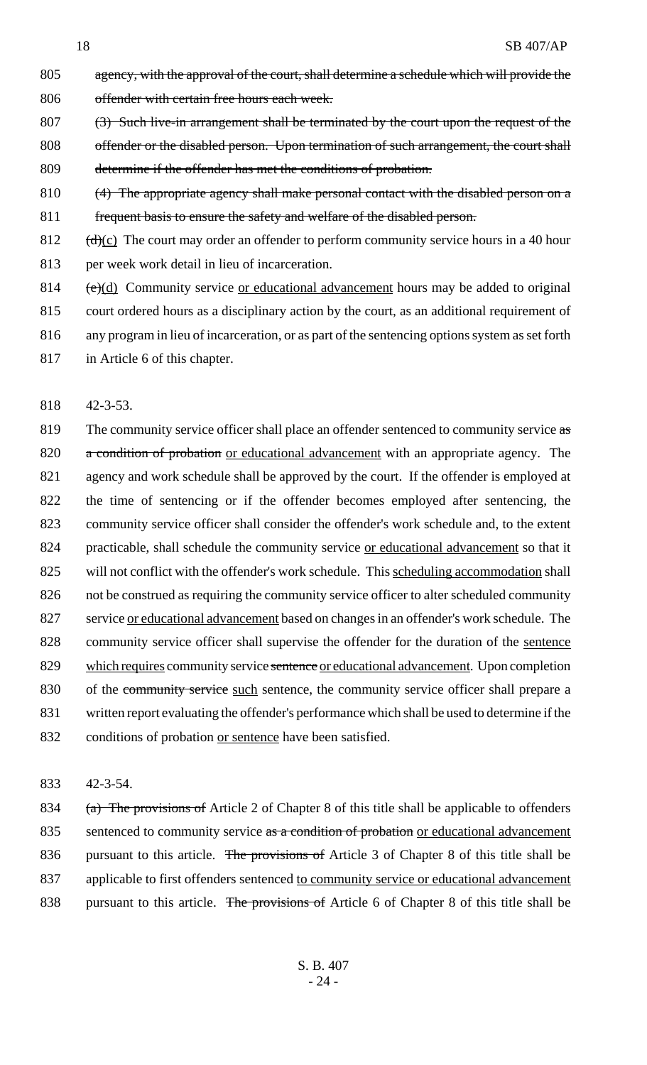- 805 agency, with the approval of the court, shall determine a schedule which will provide the 806 offender with certain free hours each week. 807 (3) Such live-in arrangement shall be terminated by the court upon the request of the
- 808 offender or the disabled person. Upon termination of such arrangement, the court shall 809 determine if the offender has met the conditions of probation.
- 810 (4) The appropriate agency shall make personal contact with the disabled person on a 811 frequent basis to ensure the safety and welfare of the disabled person.
- 812  $(d)(c)$  The court may order an offender to perform community service hours in a 40 hour
- 813 per week work detail in lieu of incarceration.
- 814  $(e)(d)$  Community service or educational advancement hours may be added to original
- 815 court ordered hours as a disciplinary action by the court, as an additional requirement of
- 816 any program in lieu of incarceration, or as part of the sentencing options system as set forth
- 817 in Article 6 of this chapter.
- 818 42-3-53.

819 The community service officer shall place an offender sentenced to community service as 820 a condition of probation or educational advancement with an appropriate agency. The 821 agency and work schedule shall be approved by the court. If the offender is employed at 822 the time of sentencing or if the offender becomes employed after sentencing, the 823 community service officer shall consider the offender's work schedule and, to the extent 824 practicable, shall schedule the community service or educational advancement so that it 825 will not conflict with the offender's work schedule. This scheduling accommodation shall 826 not be construed as requiring the community service officer to alter scheduled community 827 service <u>or educational advancement</u> based on changes in an offender's work schedule. The 828 community service officer shall supervise the offender for the duration of the sentence 829 which requires community service sentence or educational advancement. Upon completion 830 of the community service such sentence, the community service officer shall prepare a 831 written report evaluating the offender's performance which shall be used to determine if the 832 conditions of probation <u>or sentence</u> have been satisfied.

833 42-3-54.

834 (a) The provisions of Article 2 of Chapter 8 of this title shall be applicable to offenders 835 sentenced to community service as a condition of probation or educational advancement 836 pursuant to this article. The provisions of Article 3 of Chapter 8 of this title shall be 837 applicable to first offenders sentenced to community service or educational advancement 838 pursuant to this article. The provisions of Article 6 of Chapter 8 of this title shall be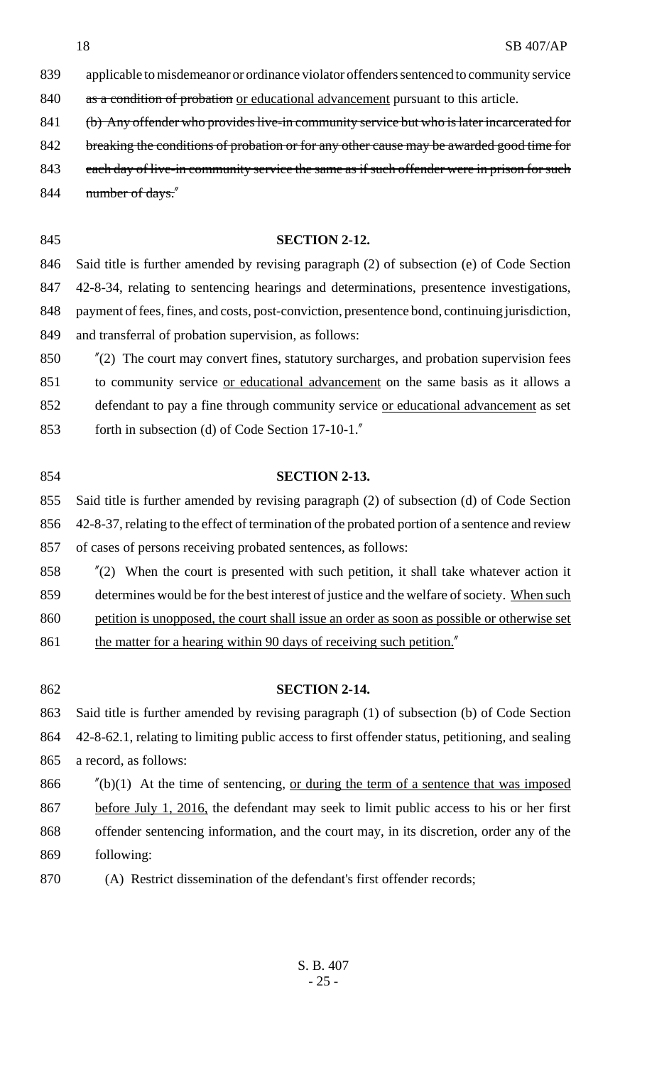applicable to misdemeanor or ordinance violator offenders sentenced to community service

840 as a condition of probation or educational advancement pursuant to this article.

- 841 (b) Any offender who provides live-in community service but who is later incarcerated for
- 842 breaking the conditions of probation or for any other cause may be awarded good time for
- 843 each day of live-in community service the same as if such offender were in prison for such 844 mumber of days."

#### **SECTION 2-12.**

 Said title is further amended by revising paragraph (2) of subsection (e) of Code Section 42-8-34, relating to sentencing hearings and determinations, presentence investigations, payment of fees, fines, and costs, post-conviction, presentence bond, continuing jurisdiction, and transferral of probation supervision, as follows:

 "(2) The court may convert fines, statutory surcharges, and probation supervision fees to community service or educational advancement on the same basis as it allows a defendant to pay a fine through community service or educational advancement as set forth in subsection (d) of Code Section 17-10-1."

# **SECTION 2-13.**

 Said title is further amended by revising paragraph (2) of subsection (d) of Code Section 42-8-37, relating to the effect of termination of the probated portion of a sentence and review of cases of persons receiving probated sentences, as follows:

 "(2) When the court is presented with such petition, it shall take whatever action it 859 determines would be for the best interest of justice and the welfare of society. When such petition is unopposed, the court shall issue an order as soon as possible or otherwise set

- 861 the matter for a hearing within 90 days of receiving such petition."
- 

## **SECTION 2-14.**

 Said title is further amended by revising paragraph (1) of subsection (b) of Code Section 42-8-62.1, relating to limiting public access to first offender status, petitioning, and sealing a record, as follows:

- 866  $\frac{1}{2}$  (b)(1) At the time of sentencing, or during the term of a sentence that was imposed 867 before July 1, 2016, the defendant may seek to limit public access to his or her first offender sentencing information, and the court may, in its discretion, order any of the following:
- (A) Restrict dissemination of the defendant's first offender records;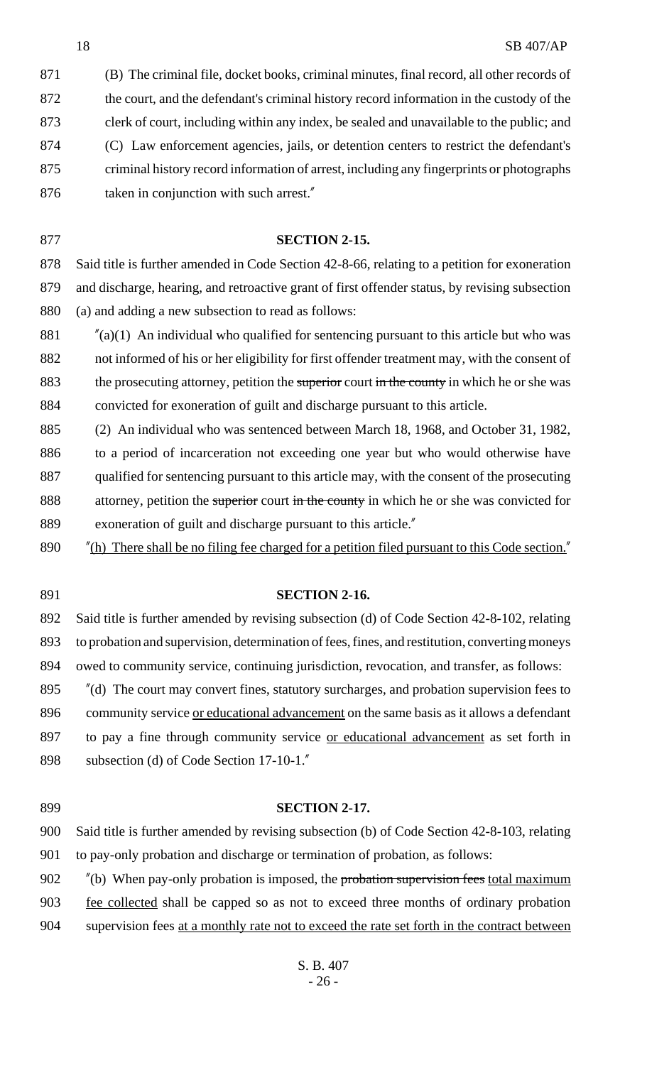(B) The criminal file, docket books, criminal minutes, final record, all other records of the court, and the defendant's criminal history record information in the custody of the clerk of court, including within any index, be sealed and unavailable to the public; and (C) Law enforcement agencies, jails, or detention centers to restrict the defendant's criminal history record information of arrest, including any fingerprints or photographs 876 taken in conjunction with such arrest."

**SECTION 2-15.**

 Said title is further amended in Code Section 42-8-66, relating to a petition for exoneration and discharge, hearing, and retroactive grant of first offender status, by revising subsection (a) and adding a new subsection to read as follows:

 $\frac{m}{a}(1)$  An individual who qualified for sentencing pursuant to this article but who was not informed of his or her eligibility for first offender treatment may, with the consent of 883 the prosecuting attorney, petition the superior court in the county in which he or she was convicted for exoneration of guilt and discharge pursuant to this article.

 (2) An individual who was sentenced between March 18, 1968, and October 31, 1982, to a period of incarceration not exceeding one year but who would otherwise have qualified for sentencing pursuant to this article may, with the consent of the prosecuting 888 attorney, petition the superior court in the county in which he or she was convicted for exoneration of guilt and discharge pursuant to this article."

"(h) There shall be no filing fee charged for a petition filed pursuant to this Code section."

### **SECTION 2-16.**

 Said title is further amended by revising subsection (d) of Code Section 42-8-102, relating to probation and supervision, determination of fees, fines, and restitution, converting moneys owed to community service, continuing jurisdiction, revocation, and transfer, as follows:

 "(d) The court may convert fines, statutory surcharges, and probation supervision fees to 896 community service <u>or educational advancement</u> on the same basis as it allows a defendant 897 to pay a fine through community service <u>or educational advancement</u> as set forth in subsection (d) of Code Section 17-10-1."

### **SECTION 2-17.**

 Said title is further amended by revising subsection (b) of Code Section 42-8-103, relating to pay-only probation and discharge or termination of probation, as follows:

902 "(b) When pay-only probation is imposed, the probation supervision fees total maximum fee collected shall be capped so as not to exceed three months of ordinary probation 904 supervision fees at a monthly rate not to exceed the rate set forth in the contract between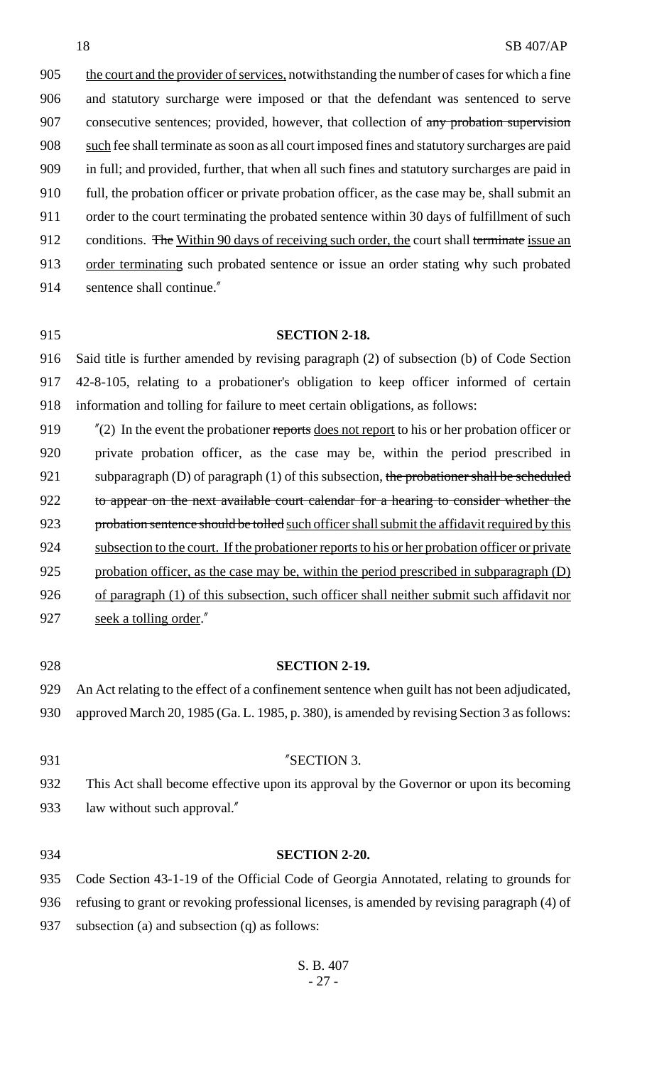905 the court and the provider of services, notwithstanding the number of cases for which a fine 906 and statutory surcharge were imposed or that the defendant was sentenced to serve 907 consecutive sentences; provided, however, that collection of any probation supervision 908 such fee shall terminate as soon as all court imposed fines and statutory surcharges are paid 909 in full; and provided, further, that when all such fines and statutory surcharges are paid in 910 full, the probation officer or private probation officer, as the case may be, shall submit an 911 order to the court terminating the probated sentence within 30 days of fulfillment of such 912 conditions. The Within 90 days of receiving such order, the court shall terminate issue an 913 order terminating such probated sentence or issue an order stating why such probated 914 sentence shall continue."

### 915 **SECTION 2-18.**

916 Said title is further amended by revising paragraph (2) of subsection (b) of Code Section 917 42-8-105, relating to a probationer's obligation to keep officer informed of certain 918 information and tolling for failure to meet certain obligations, as follows:

919  $\frac{\pi}{2}$  In the event the probationer reports does not report to his or her probation officer or 920 private probation officer, as the case may be, within the period prescribed in 921 subparagraph  $(D)$  of paragraph  $(1)$  of this subsection, the probationer shall be scheduled 922 to appear on the next available court calendar for a hearing to consider whether the 923 probation sentence should be tolled such officer shall submit the affidavit required by this 924 subsection to the court. If the probationer reports to his or her probation officer or private 925 probation officer, as the case may be, within the period prescribed in subparagraph (D) 926 of paragraph (1) of this subsection, such officer shall neither submit such affidavit nor 927 seek a tolling order."

929 An Act relating to the effect of a confinement sentence when guilt has not been adjudicated, 930 approved March 20, 1985 (Ga. L. 1985, p. 380), is amended by revising Section 3 as follows:

#### 931 "SECTION 3.

928 **SECTION 2-19.**

934 **SECTION 2-20.**

932 This Act shall become effective upon its approval by the Governor or upon its becoming 933 law without such approval."

935 Code Section 43-1-19 of the Official Code of Georgia Annotated, relating to grounds for 936 refusing to grant or revoking professional licenses, is amended by revising paragraph (4) of 937 subsection (a) and subsection (q) as follows: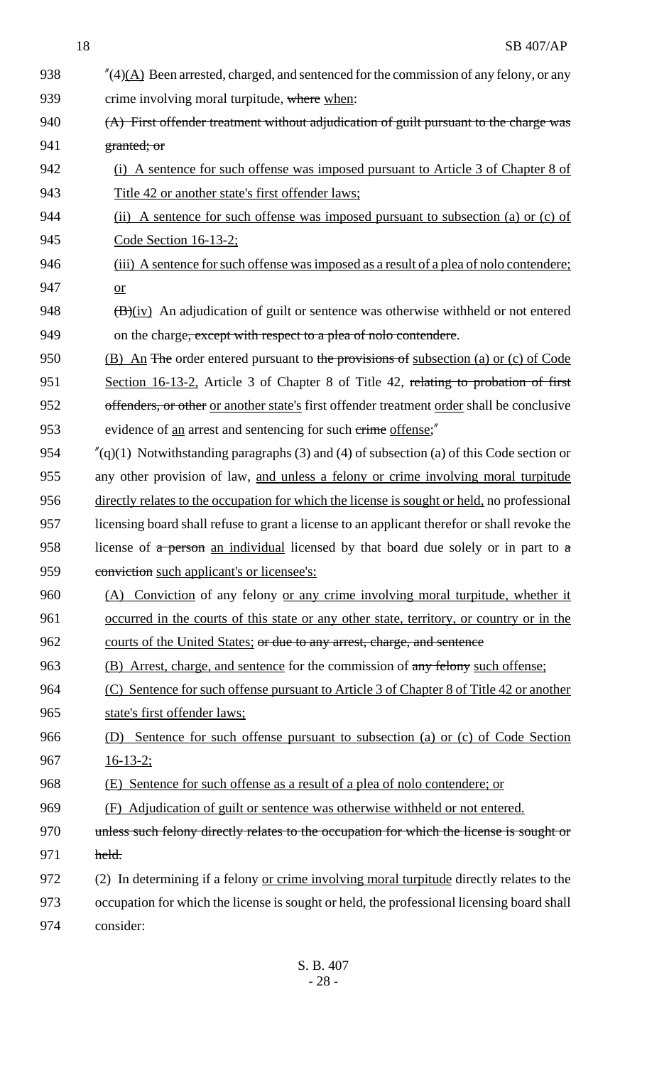| 938 | $''(4)$ (A) Been arrested, charged, and sentenced for the commission of any felony, or any      |  |  |
|-----|-------------------------------------------------------------------------------------------------|--|--|
| 939 | crime involving moral turpitude, where when:                                                    |  |  |
| 940 | (A) First offender treatment without adjudication of guilt pursuant to the charge was           |  |  |
| 941 | granted; or                                                                                     |  |  |
| 942 | (i) A sentence for such offense was imposed pursuant to Article 3 of Chapter 8 of               |  |  |
| 943 | Title 42 or another state's first offender laws:                                                |  |  |
| 944 | (ii) A sentence for such offense was imposed pursuant to subsection (a) or (c) of               |  |  |
| 945 | Code Section $16-13-2$ ;                                                                        |  |  |
| 946 | (iii) A sentence for such offense was imposed as a result of a plea of nolo contendere;         |  |  |
| 947 | $or$                                                                                            |  |  |
| 948 | $(\overline{B})(iv)$ An adjudication of guilt or sentence was otherwise withheld or not entered |  |  |
| 949 | on the charge <del>, except with respect to a plea of nolo contendere</del> .                   |  |  |
| 950 | (B) An The order entered pursuant to the provisions of subsection (a) or (c) of Code            |  |  |
| 951 | Section 16-13-2, Article 3 of Chapter 8 of Title 42, relating to probation of first             |  |  |
| 952 | offenders, or other or another state's first offender treatment order shall be conclusive       |  |  |
| 953 | evidence of <u>an</u> arrest and sentencing for such crime offense;"                            |  |  |
| 954 | $''(q)(1)$ Notwithstanding paragraphs (3) and (4) of subsection (a) of this Code section or     |  |  |
| 955 | any other provision of law, and unless a felony or crime involving moral turpitude              |  |  |
| 956 | directly relates to the occupation for which the license is sought or held, no professional     |  |  |
| 957 | licensing board shall refuse to grant a license to an applicant therefor or shall revoke the    |  |  |
| 958 | license of a person an individual licensed by that board due solely or in part to a             |  |  |
| 959 | conviction such applicant's or licensee's:                                                      |  |  |
| 960 | (A) Conviction of any felony or any crime involving moral turpitude, whether it                 |  |  |
| 961 | occurred in the courts of this state or any other state, territory, or country or in the        |  |  |
| 962 | <u>courts of the United States; or due to any arrest, charge, and sentence</u>                  |  |  |
| 963 | (B) Arrest, charge, and sentence for the commission of any felony such offense;                 |  |  |
| 964 | (C) Sentence for such offense pursuant to Article 3 of Chapter 8 of Title 42 or another         |  |  |
| 965 | state's first offender laws:                                                                    |  |  |
| 966 | (D) Sentence for such offense pursuant to subsection (a) or (c) of Code Section                 |  |  |
| 967 | $16-13-2$ ;                                                                                     |  |  |
| 968 | (E) Sentence for such offense as a result of a plea of nolo contendere; or                      |  |  |
| 969 | (F) Adjudication of guilt or sentence was otherwise withheld or not entered.                    |  |  |
| 970 | unless such felony directly relates to the occupation for which the license is sought or        |  |  |
| 971 | held.                                                                                           |  |  |
| 972 | (2) In determining if a felony or crime involving moral turpitude directly relates to the       |  |  |
| 973 | occupation for which the license is sought or held, the professional licensing board shall      |  |  |
| 974 | consider:                                                                                       |  |  |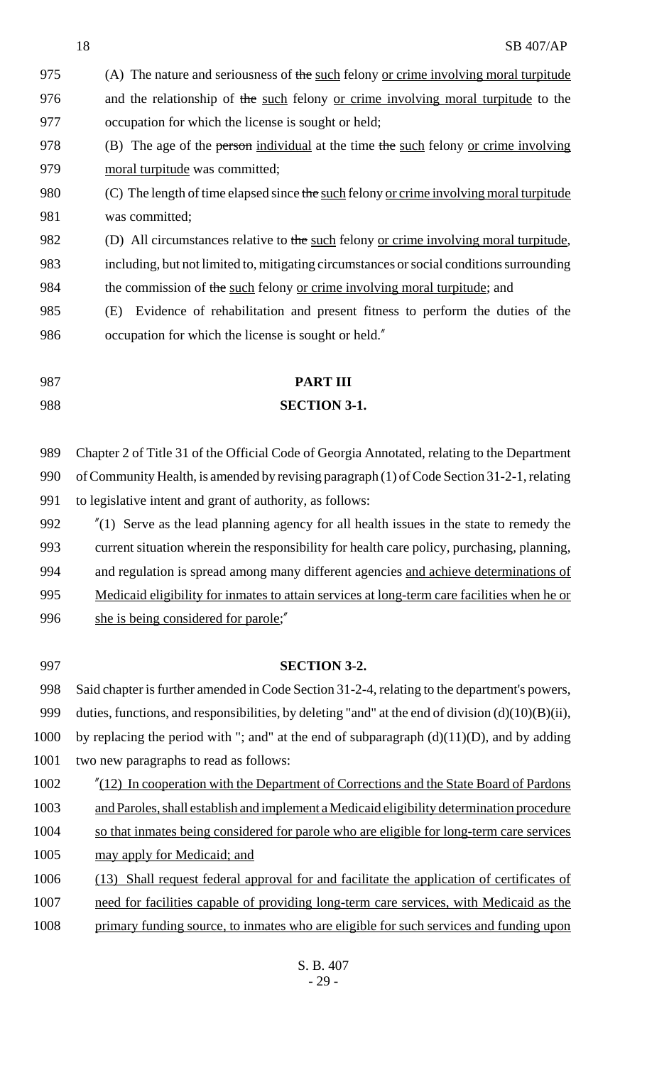|      | 18<br><b>SB 407/AP</b>                                                                               |  |  |
|------|------------------------------------------------------------------------------------------------------|--|--|
| 975  | (A) The nature and seriousness of the such felony or crime involving moral turpitude                 |  |  |
| 976  | and the relationship of the such felony or crime involving moral turpitude to the                    |  |  |
| 977  | occupation for which the license is sought or held;                                                  |  |  |
| 978  | (B) The age of the person individual at the time the such felony or crime involving                  |  |  |
| 979  | moral turpitude was committed;                                                                       |  |  |
| 980  | (C) The length of time elapsed since the such felony or crime involving moral turpitude              |  |  |
| 981  | was committed;                                                                                       |  |  |
| 982  | (D) All circumstances relative to the such felony or crime involving moral turpitude,                |  |  |
| 983  | including, but not limited to, mitigating circumstances or social conditions surrounding             |  |  |
| 984  | the commission of the such felony or crime involving moral turpitude; and                            |  |  |
| 985  | Evidence of rehabilitation and present fitness to perform the duties of the<br>(E)                   |  |  |
| 986  | occupation for which the license is sought or held."                                                 |  |  |
|      |                                                                                                      |  |  |
| 987  | <b>PART III</b>                                                                                      |  |  |
| 988  | <b>SECTION 3-1.</b>                                                                                  |  |  |
|      |                                                                                                      |  |  |
| 989  | Chapter 2 of Title 31 of the Official Code of Georgia Annotated, relating to the Department          |  |  |
| 990  | of Community Health, is amended by revising paragraph (1) of Code Section 31-2-1, relating           |  |  |
| 991  | to legislative intent and grant of authority, as follows:                                            |  |  |
| 992  | $''(1)$ Serve as the lead planning agency for all health issues in the state to remedy the           |  |  |
| 993  | current situation wherein the responsibility for health care policy, purchasing, planning,           |  |  |
| 994  | and regulation is spread among many different agencies and achieve determinations of                 |  |  |
| 995  | Medicaid eligibility for inmates to attain services at long-term care facilities when he or          |  |  |
| 996  | she is being considered for parole;"                                                                 |  |  |
|      |                                                                                                      |  |  |
| 997  | <b>SECTION 3-2.</b>                                                                                  |  |  |
| 998  | Said chapter is further amended in Code Section 31-2-4, relating to the department's powers,         |  |  |
| 999  | duties, functions, and responsibilities, by deleting "and" at the end of division $(d)(10)(B)(ii)$ , |  |  |
| 1000 | by replacing the period with "; and" at the end of subparagraph $(d)(11)(D)$ , and by adding         |  |  |
| 1001 | two new paragraphs to read as follows:                                                               |  |  |
| 1002 | "(12) In cooperation with the Department of Corrections and the State Board of Pardons               |  |  |
| 1003 | and Paroles, shall establish and implement a Medicaid eligibility determination procedure            |  |  |
| 1004 | so that inmates being considered for parole who are eligible for long-term care services             |  |  |
| 1005 | may apply for Medicaid; and                                                                          |  |  |
| 1006 | (13) Shall request federal approval for and facilitate the application of certificates of            |  |  |
| 1007 | need for facilities capable of providing long-term care services, with Medicaid as the               |  |  |
| 1008 | primary funding source, to inmates who are eligible for such services and funding upon               |  |  |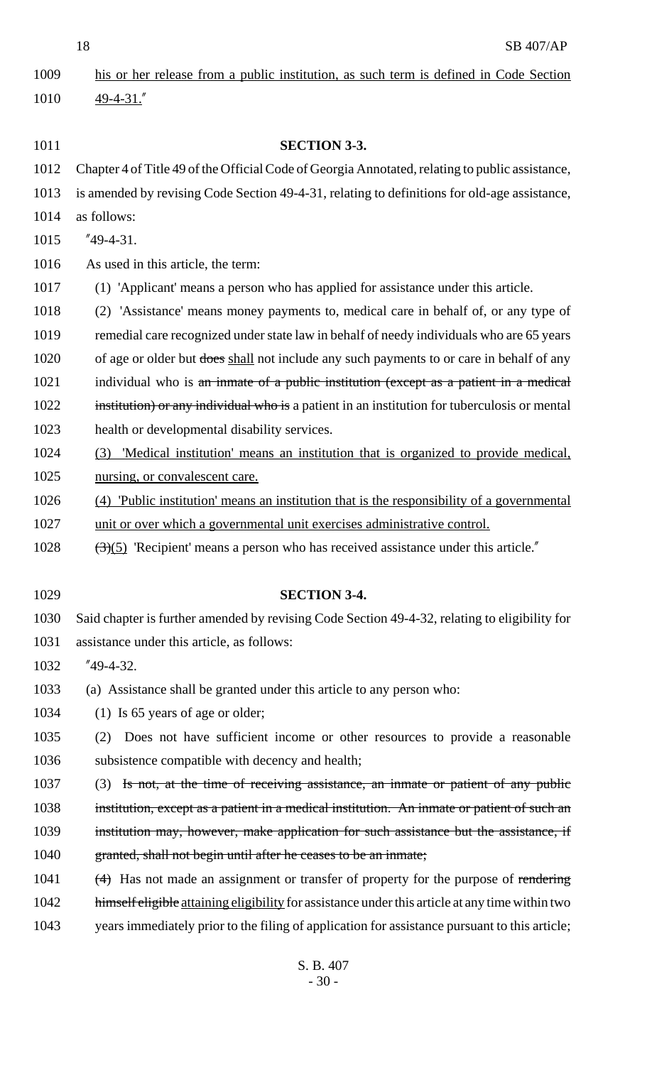his or her release from a public institution, as such term is defined in Code Section 49-4-31."

 **SECTION 3-3.** Chapter 4 of Title 49 of the Official Code of Georgia Annotated, relating to public assistance, is amended by revising Code Section 49-4-31, relating to definitions for old-age assistance, as follows: "49-4-31. As used in this article, the term: (1) 'Applicant' means a person who has applied for assistance under this article. (2) 'Assistance' means money payments to, medical care in behalf of, or any type of remedial care recognized under state law in behalf of needy individuals who are 65 years 1020 of age or older but does shall not include any such payments to or care in behalf of any 1021 individual who is an inmate of a public institution (except as a patient in a medical 1022 institution) or any individual who is a patient in an institution for tuberculosis or mental health or developmental disability services. (3) 'Medical institution' means an institution that is organized to provide medical, nursing, or convalescent care. (4) 'Public institution' means an institution that is the responsibility of a governmental unit or over which a governmental unit exercises administrative control.  $\left(\frac{3(5)}{2}\right)$  'Recipient' means a person who has received assistance under this article." **SECTION 3-4.** Said chapter is further amended by revising Code Section 49-4-32, relating to eligibility for assistance under this article, as follows: "49-4-32. (a) Assistance shall be granted under this article to any person who: 1034 (1) Is 65 years of age or older; (2) Does not have sufficient income or other resources to provide a reasonable subsistence compatible with decency and health; (3) Is not, at the time of receiving assistance, an inmate or patient of any public 1038 institution, except as a patient in a medical institution. An inmate or patient of such an institution may, however, make application for such assistance but the assistance, if granted, shall not begin until after he ceases to be an inmate; 1041 (4) Has not made an assignment or transfer of property for the purpose of rendering 1042 himself eligible attaining eligibility for assistance under this article at any time within two years immediately prior to the filing of application for assistance pursuant to this article;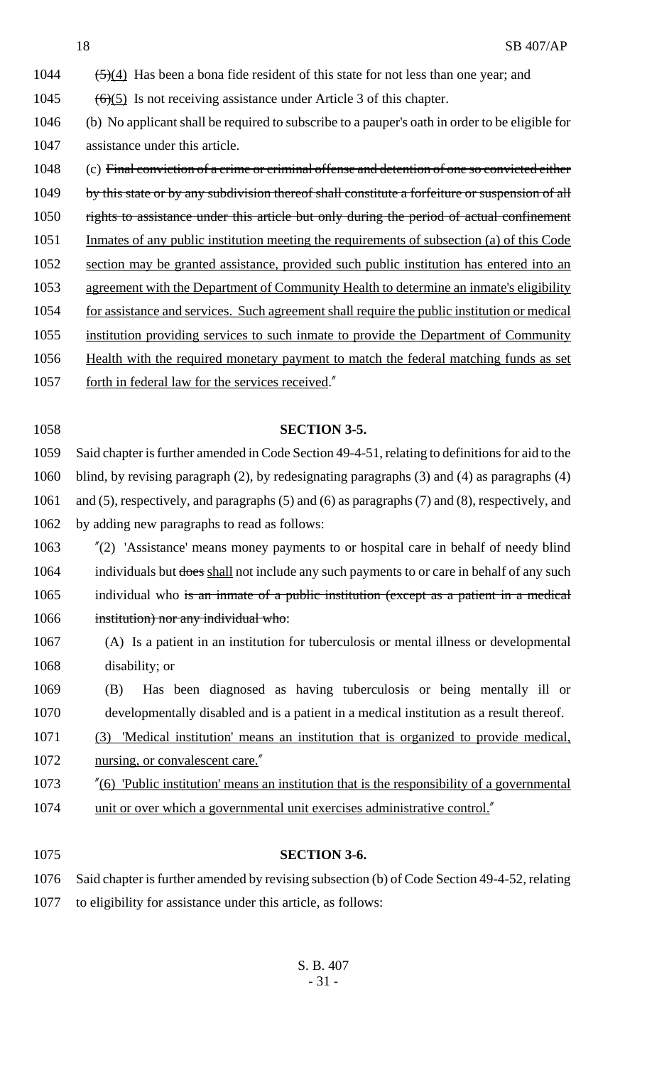- 1044  $(5)(4)$  Has been a bona fide resident of this state for not less than one year; and 1045  $(6)(5)$  Is not receiving assistance under Article 3 of this chapter. (b) No applicant shall be required to subscribe to a pauper's oath in order to be eligible for assistance under this article. (c) Final conviction of a crime or criminal offense and detention of one so convicted either 1049 by this state or by any subdivision thereof shall constitute a forfeiture or suspension of all 1050 rights to assistance under this article but only during the period of actual confinement Inmates of any public institution meeting the requirements of subsection (a) of this Code section may be granted assistance, provided such public institution has entered into an agreement with the Department of Community Health to determine an inmate's eligibility for assistance and services. Such agreement shall require the public institution or medical institution providing services to such inmate to provide the Department of Community 1056 Health with the required monetary payment to match the federal matching funds as set
- 1057 forth in federal law for the services received."

### **SECTION 3-5.**

**SECTION 3-6.**

 Said chapter is further amended in Code Section 49-4-51, relating to definitions for aid to the blind, by revising paragraph (2), by redesignating paragraphs (3) and (4) as paragraphs (4) and (5), respectively, and paragraphs (5) and (6) as paragraphs (7) and (8), respectively, and by adding new paragraphs to read as follows:

 "(2) 'Assistance' means money payments to or hospital care in behalf of needy blind 1064 individuals but does shall not include any such payments to or care in behalf of any such 1065 individual who is an inmate of a public institution (except as a patient in a medical institution) nor any individual who:

 (A) Is a patient in an institution for tuberculosis or mental illness or developmental disability; or

 (B) Has been diagnosed as having tuberculosis or being mentally ill or developmentally disabled and is a patient in a medical institution as a result thereof.

- (3) 'Medical institution' means an institution that is organized to provide medical, 1072 nursing, or convalescent care.
- "(6) 'Public institution' means an institution that is the responsibility of a governmental 1074 unit or over which a governmental unit exercises administrative control."

 Said chapter is further amended by revising subsection (b) of Code Section 49-4-52, relating to eligibility for assistance under this article, as follows: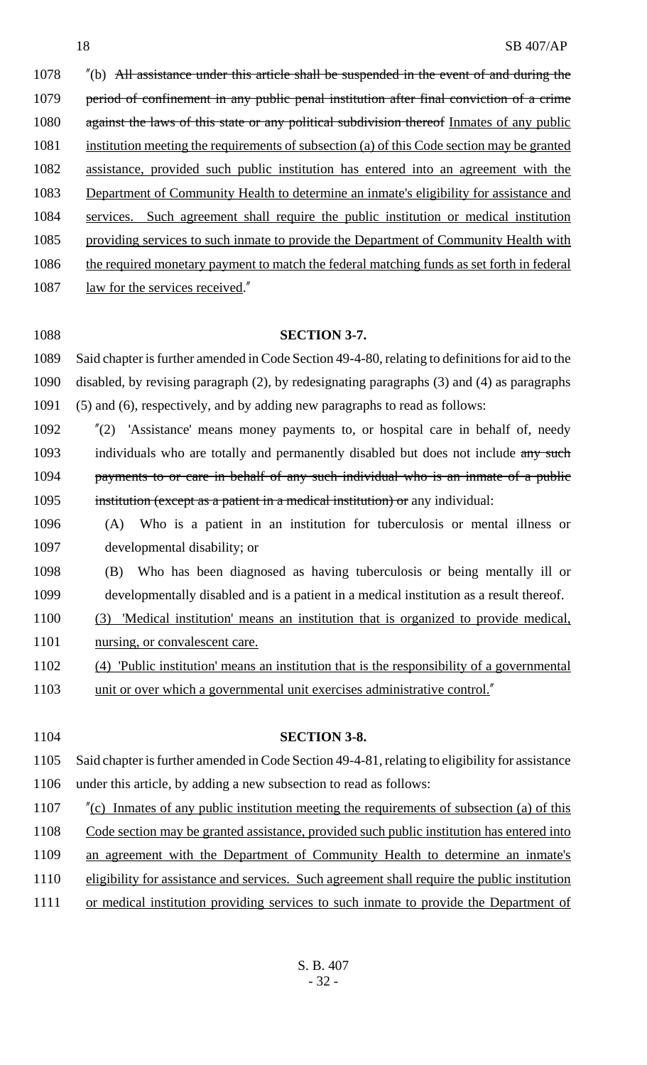1078 "(b) All assistance under this article shall be suspended in the event of and during the 1079 period of confinement in any public penal institution after final conviction of a crime 1080 against the laws of this state or any political subdivision thereof Inmates of any public institution meeting the requirements of subsection (a) of this Code section may be granted assistance, provided such public institution has entered into an agreement with the 1083 Department of Community Health to determine an inmate's eligibility for assistance and services. Such agreement shall require the public institution or medical institution providing services to such inmate to provide the Department of Community Health with 1086 the required monetary payment to match the federal matching funds as set forth in federal 1087 law for the services received."

### **SECTION 3-7.**

 Said chapter is further amended in Code Section 49-4-80, relating to definitions for aid to the disabled, by revising paragraph (2), by redesignating paragraphs (3) and (4) as paragraphs (5) and (6), respectively, and by adding new paragraphs to read as follows:

 "(2) 'Assistance' means money payments to, or hospital care in behalf of, needy 1093 individuals who are totally and permanently disabled but does not include any such 1094 payments to or care in behalf of any such individual who is an inmate of a public institution (except as a patient in a medical institution) or any individual:

- (A) Who is a patient in an institution for tuberculosis or mental illness or developmental disability; or
- (B) Who has been diagnosed as having tuberculosis or being mentally ill or developmentally disabled and is a patient in a medical institution as a result thereof.
- (3) 'Medical institution' means an institution that is organized to provide medical, 1101 nursing, or convalescent care.
- (4) 'Public institution' means an institution that is the responsibility of a governmental
- unit or over which a governmental unit exercises administrative control."

 **SECTION 3-8.** Said chapter is further amended in Code Section 49-4-81, relating to eligibility for assistance under this article, by adding a new subsection to read as follows: 1107 "(c) Inmates of any public institution meeting the requirements of subsection (a) of this Code section may be granted assistance, provided such public institution has entered into an agreement with the Department of Community Health to determine an inmate's eligibility for assistance and services. Such agreement shall require the public institution

or medical institution providing services to such inmate to provide the Department of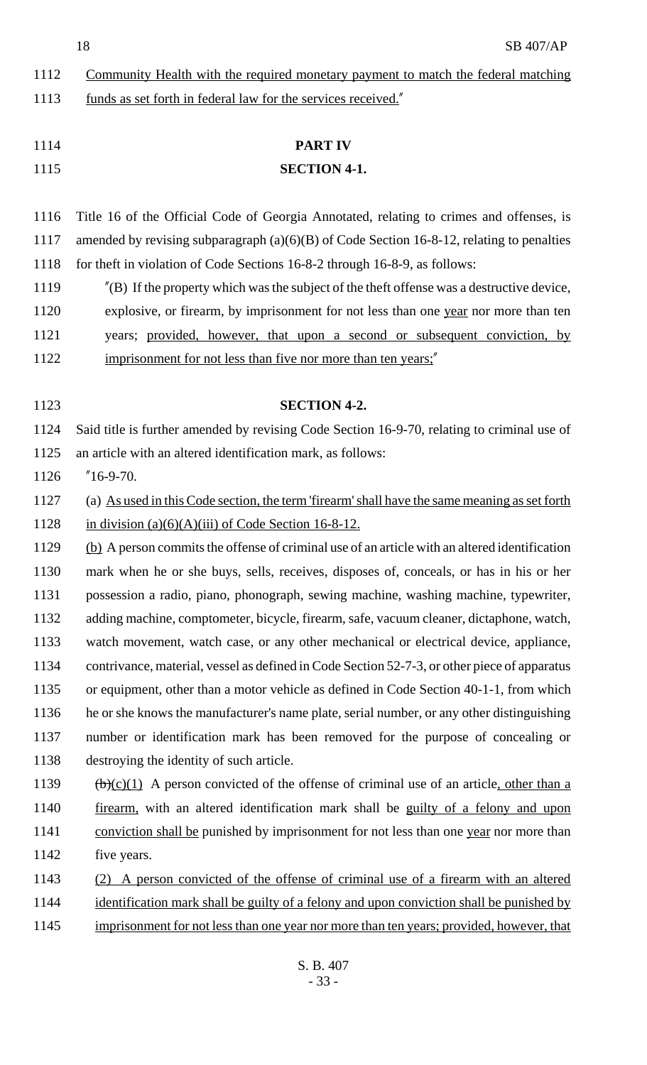| 1112 | Community Health with the required monetary payment to match the federal matching                                      |  |  |
|------|------------------------------------------------------------------------------------------------------------------------|--|--|
| 1113 | funds as set forth in federal law for the services received."                                                          |  |  |
|      |                                                                                                                        |  |  |
| 1114 | <b>PART IV</b>                                                                                                         |  |  |
| 1115 | <b>SECTION 4-1.</b>                                                                                                    |  |  |
|      |                                                                                                                        |  |  |
| 1116 | Title 16 of the Official Code of Georgia Annotated, relating to crimes and offenses, is                                |  |  |
| 1117 | amended by revising subparagraph $(a)(6)(B)$ of Code Section 16-8-12, relating to penalties                            |  |  |
| 1118 | for theft in violation of Code Sections 16-8-2 through 16-8-9, as follows:                                             |  |  |
| 1119 | $^{\prime\prime}$ (B) If the property which was the subject of the theft offense was a destructive device,             |  |  |
| 1120 | explosive, or firearm, by imprisonment for not less than one year nor more than ten                                    |  |  |
| 1121 | years; provided, however, that upon a second or subsequent conviction, by                                              |  |  |
| 1122 | imprisonment for not less than five nor more than ten years;"                                                          |  |  |
|      |                                                                                                                        |  |  |
| 1123 | <b>SECTION 4-2.</b>                                                                                                    |  |  |
| 1124 | Said title is further amended by revising Code Section 16-9-70, relating to criminal use of                            |  |  |
| 1125 | an article with an altered identification mark, as follows:                                                            |  |  |
| 1126 | $^{\prime\prime}$ 16-9-70.                                                                                             |  |  |
| 1127 | (a) As used in this Code section, the term 'firearm' shall have the same meaning as set forth                          |  |  |
| 1128 | in division $(a)(6)(A)(iii)$ of Code Section 16-8-12.                                                                  |  |  |
| 1129 | (b) A person commits the offense of criminal use of an article with an altered identification                          |  |  |
| 1130 | mark when he or she buys, sells, receives, disposes of, conceals, or has in his or her                                 |  |  |
| 1131 | possession a radio, piano, phonograph, sewing machine, washing machine, typewriter,                                    |  |  |
| 1132 | adding machine, comptometer, bicycle, firearm, safe, vacuum cleaner, dictaphone, watch,                                |  |  |
| 1133 | watch movement, watch case, or any other mechanical or electrical device, appliance,                                   |  |  |
| 1134 | contrivance, material, vessel as defined in Code Section 52-7-3, or other piece of apparatus                           |  |  |
| 1135 | or equipment, other than a motor vehicle as defined in Code Section 40-1-1, from which                                 |  |  |
| 1136 | he or she knows the manufacturer's name plate, serial number, or any other distinguishing                              |  |  |
| 1137 | number or identification mark has been removed for the purpose of concealing or                                        |  |  |
| 1138 | destroying the identity of such article.                                                                               |  |  |
| 1139 | $\left(\frac{b}{c}\right)\left(1\right)$ A person convicted of the offense of criminal use of an article, other than a |  |  |
| 1140 | firearm, with an altered identification mark shall be guilty of a felony and upon                                      |  |  |
| 1141 | conviction shall be punished by imprisonment for not less than one year nor more than                                  |  |  |
| 1142 | five years.                                                                                                            |  |  |
| 1143 | A person convicted of the offense of criminal use of a firearm with an altered                                         |  |  |
| 1144 | identification mark shall be guilty of a felony and upon conviction shall be punished by                               |  |  |
| 1145 | imprisonment for not less than one year nor more than ten years; provided, however, that                               |  |  |
|      |                                                                                                                        |  |  |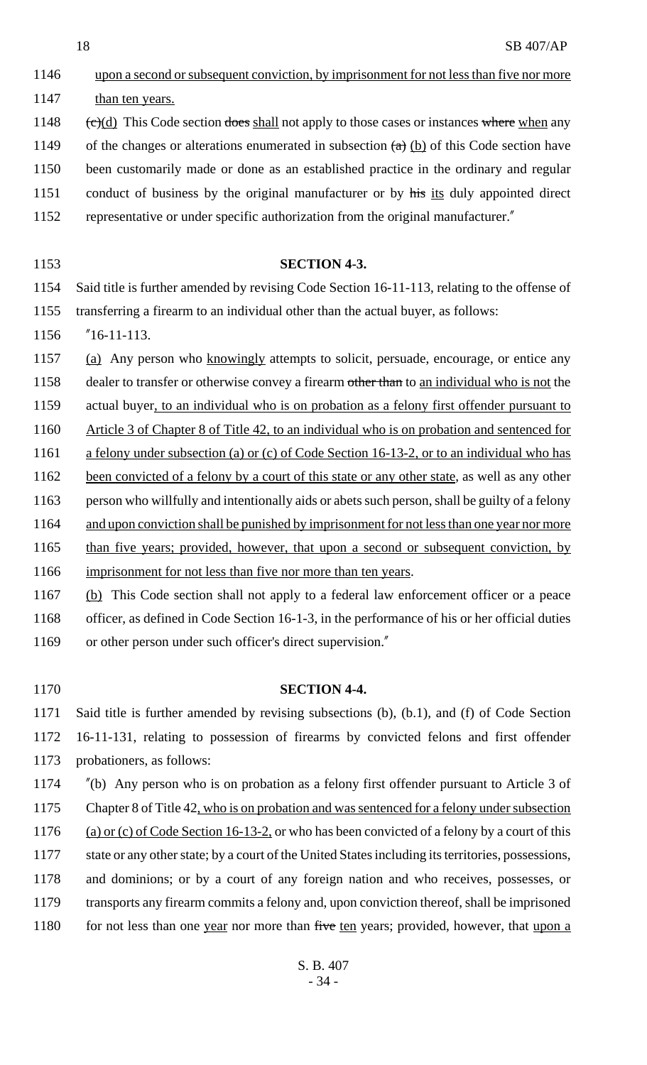- 1146 upon a second or subsequent conviction, by imprisonment for not less than five nor more 1147 than ten years. 1148  $\left(\frac{\dot{\epsilon}}{\dot{\epsilon}}\right)$  (d) This Code section does shall not apply to those cases or instances where when any 1149 of the changes or alterations enumerated in subsection  $(a)$  (b) of this Code section have 1150 been customarily made or done as an established practice in the ordinary and regular 1151 conduct of business by the original manufacturer or by his its duly appointed direct 1152 representative or under specific authorization from the original manufacturer." 1153 **SECTION 4-3.** 1154 Said title is further amended by revising Code Section 16-11-113, relating to the offense of 1155 transferring a firearm to an individual other than the actual buyer, as follows: 1156 "16-11-113. 1157 (a) Any person who knowingly attempts to solicit, persuade, encourage, or entice any 1158 dealer to transfer or otherwise convey a firearm other than to an individual who is not the 1159 actual buyer, to an individual who is on probation as a felony first offender pursuant to 1160 Article 3 of Chapter 8 of Title 42, to an individual who is on probation and sentenced for 1161 a felony under subsection (a) or (c) of Code Section 16-13-2, or to an individual who has 1162 been convicted of a felony by a court of this state or any other state, as well as any other 1163 person who willfully and intentionally aids or abets such person, shall be guilty of a felony 1164 and upon conviction shall be punished by imprisonment for not less than one year nor more 1165 than five years; provided, however, that upon a second or subsequent conviction, by 1166 imprisonment for not less than five nor more than ten years. 1167 (b) This Code section shall not apply to a federal law enforcement officer or a peace 1168 officer, as defined in Code Section 16-1-3, in the performance of his or her official duties 1169 or other person under such officer's direct supervision." 1170 **SECTION 4-4.** 1171 Said title is further amended by revising subsections (b), (b.1), and (f) of Code Section 1172 16-11-131, relating to possession of firearms by convicted felons and first offender 1173 probationers, as follows: 1174 "(b) Any person who is on probation as a felony first offender pursuant to Article 3 of 1175 Chapter 8 of Title 42, who is on probation and was sentenced for a felony under subsection 1176 (a) or (c) of Code Section 16-13-2, or who has been convicted of a felony by a court of this 1177 state or any other state; by a court of the United States including its territories, possessions,
- 1178 and dominions; or by a court of any foreign nation and who receives, possesses, or
- 1179 transports any firearm commits a felony and, upon conviction thereof, shall be imprisoned 1180 for not less than one year nor more than five ten years; provided, however, that upon a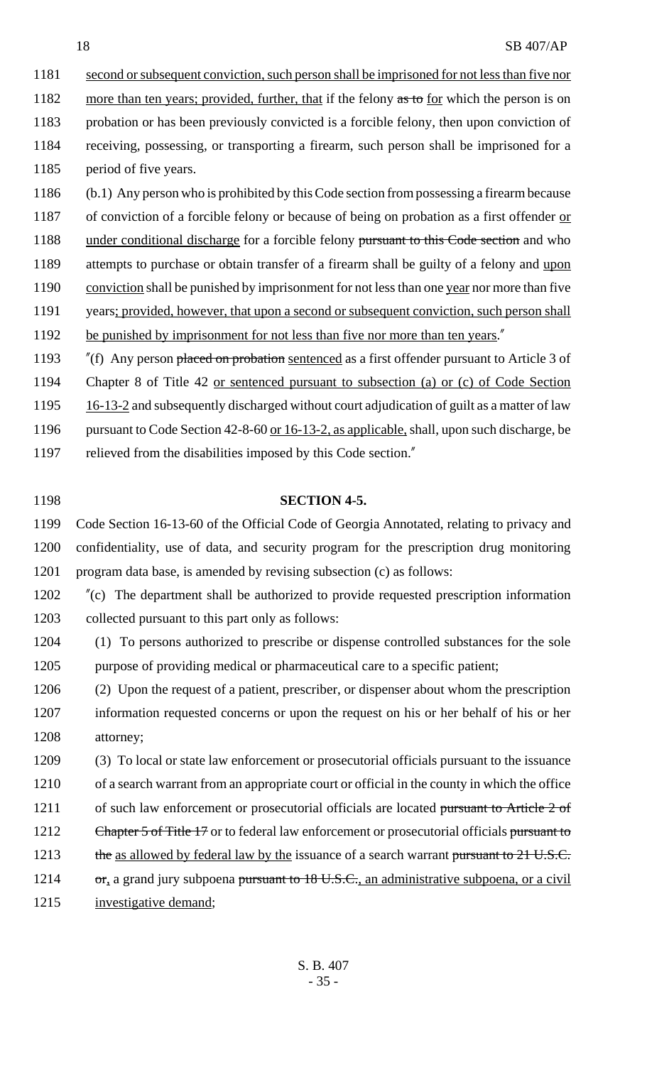1181 second or subsequent conviction, such person shall be imprisoned for not less than five nor 1182 more than ten years; provided, further, that if the felony as to for which the person is on 1183 probation or has been previously convicted is a forcible felony, then upon conviction of 1184 receiving, possessing, or transporting a firearm, such person shall be imprisoned for a 1185 period of five years.

1186 (b.1) Any person who is prohibited by this Code section from possessing a firearm because 1187 of conviction of a forcible felony or because of being on probation as a first offender or 1188 under conditional discharge for a forcible felony pursuant to this Code section and who 1189 attempts to purchase or obtain transfer of a firearm shall be guilty of a felony and upon 1190 conviction shall be punished by imprisonment for not less than one year nor more than five 1191 years; provided, however, that upon a second or subsequent conviction, such person shall 1192 be punished by imprisonment for not less than five nor more than ten years." 1193 "(f) Any person placed on probation sentenced as a first offender pursuant to Article 3 of

1194 Chapter 8 of Title 42 or sentenced pursuant to subsection (a) or (c) of Code Section

1195 16-13-2 and subsequently discharged without court adjudication of guilt as a matter of law

1196 pursuant to Code Section 42-8-60 or 16-13-2, as applicable, shall, upon such discharge, be

1197 relieved from the disabilities imposed by this Code section."

#### 1198 **SECTION 4-5.**

1199 Code Section 16-13-60 of the Official Code of Georgia Annotated, relating to privacy and 1200 confidentiality, use of data, and security program for the prescription drug monitoring 1201 program data base, is amended by revising subsection (c) as follows:

1202 "(c) The department shall be authorized to provide requested prescription information 1203 collected pursuant to this part only as follows:

1204 (1) To persons authorized to prescribe or dispense controlled substances for the sole 1205 purpose of providing medical or pharmaceutical care to a specific patient;

1206 (2) Upon the request of a patient, prescriber, or dispenser about whom the prescription 1207 information requested concerns or upon the request on his or her behalf of his or her 1208 attorney;

1209 (3) To local or state law enforcement or prosecutorial officials pursuant to the issuance 1210 of a search warrant from an appropriate court or official in the county in which the office 1211 of such law enforcement or prosecutorial officials are located pursuant to Article 2 of 1212 Chapter 5 of Title 17 or to federal law enforcement or prosecutorial officials pursuant to 1213 the as allowed by federal law by the issuance of a search warrant pursuant to 21 U.S.C. 1214 or, a grand jury subpoena pursuant to 18 U.S.C., an administrative subpoena, or a civil

1215 investigative demand;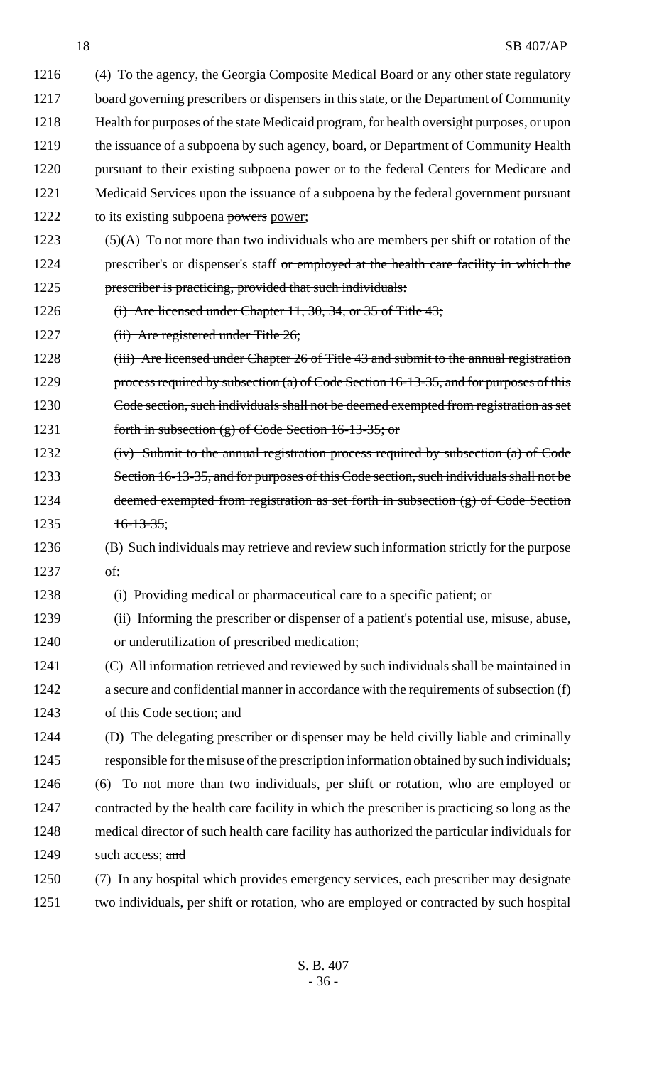(4) To the agency, the Georgia Composite Medical Board or any other state regulatory board governing prescribers or dispensers in this state, or the Department of Community Health for purposes of the state Medicaid program, for health oversight purposes, or upon 1219 the issuance of a subpoena by such agency, board, or Department of Community Health 1220 pursuant to their existing subpoena power or to the federal Centers for Medicare and Medicaid Services upon the issuance of a subpoena by the federal government pursuant 1222 to its existing subpoena powers power;

- (5)(A) To not more than two individuals who are members per shift or rotation of the 1224 prescriber's or dispenser's staff or employed at the health care facility in which the
- prescriber is practicing, provided that such individuals:
- 1226 (i) Are licensed under Chapter 11, 30, 34, or 35 of Title 43;
- 1227 (ii) Are registered under Title 26;
- 1228 (iii) Are licensed under Chapter 26 of Title 43 and submit to the annual registration 1229 process required by subsection (a) of Code Section 16-13-35, and for purposes of this Code section, such individuals shall not be deemed exempted from registration as set 1231 forth in subsection (g) of Code Section 16-13-35; or
- 1232 (iv) Submit to the annual registration process required by subsection (a) of Code 1233 Section 16-13-35, and for purposes of this Code section, such individuals shall not be deemed exempted from registration as set forth in subsection (g) of Code Section  $16-13-35$ ;
- (B) Such individuals may retrieve and review such information strictly for the purpose of:
- (i) Providing medical or pharmaceutical care to a specific patient; or
- (ii) Informing the prescriber or dispenser of a patient's potential use, misuse, abuse,
- or underutilization of prescribed medication;
- (C) All information retrieved and reviewed by such individuals shall be maintained in a secure and confidential manner in accordance with the requirements of subsection (f) of this Code section; and
- (D) The delegating prescriber or dispenser may be held civilly liable and criminally responsible for the misuse of the prescription information obtained by such individuals; (6) To not more than two individuals, per shift or rotation, who are employed or contracted by the health care facility in which the prescriber is practicing so long as the medical director of such health care facility has authorized the particular individuals for
- 1249 such access; and
- (7) In any hospital which provides emergency services, each prescriber may designate two individuals, per shift or rotation, who are employed or contracted by such hospital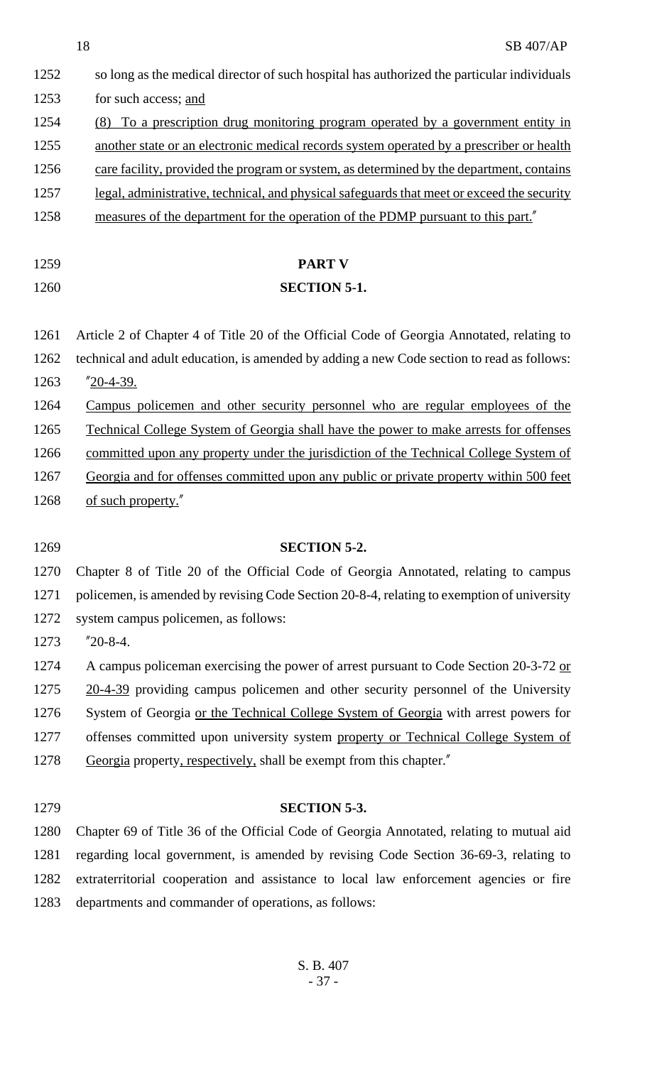- 1252 so long as the medical director of such hospital has authorized the particular individuals 1253 for such access; and 1254 (8) To a prescription drug monitoring program operated by a government entity in 1255 another state or an electronic medical records system operated by a prescriber or health 1256 care facility, provided the program or system, as determined by the department, contains 1257 legal, administrative, technical, and physical safeguards that meet or exceed the security 1258 measures of the department for the operation of the PDMP pursuant to this part."
- 

# 1259 **PART V** 1260 **SECTION 5-1.**

1261 Article 2 of Chapter 4 of Title 20 of the Official Code of Georgia Annotated, relating to 1262 technical and adult education, is amended by adding a new Code section to read as follows: 1263 "20-4-39.

1264 Campus policemen and other security personnel who are regular employees of the

1265 Technical College System of Georgia shall have the power to make arrests for offenses

1266 committed upon any property under the jurisdiction of the Technical College System of

1267 Georgia and for offenses committed upon any public or private property within 500 feet 1268 of such property."

### 1269 **SECTION 5-2.**

1270 Chapter 8 of Title 20 of the Official Code of Georgia Annotated, relating to campus 1271 policemen, is amended by revising Code Section 20-8-4, relating to exemption of university 1272 system campus policemen, as follows:

1273 "20-8-4.

1274 A campus policeman exercising the power of arrest pursuant to Code Section 20-3-72 or

1275 20-4-39 providing campus policemen and other security personnel of the University

- 1276 System of Georgia or the Technical College System of Georgia with arrest powers for 1277 offenses committed upon university system property or Technical College System of
- 1278 Georgia property, respectively, shall be exempt from this chapter.

#### 1279 **SECTION 5-3.**

 Chapter 69 of Title 36 of the Official Code of Georgia Annotated, relating to mutual aid regarding local government, is amended by revising Code Section 36-69-3, relating to extraterritorial cooperation and assistance to local law enforcement agencies or fire departments and commander of operations, as follows: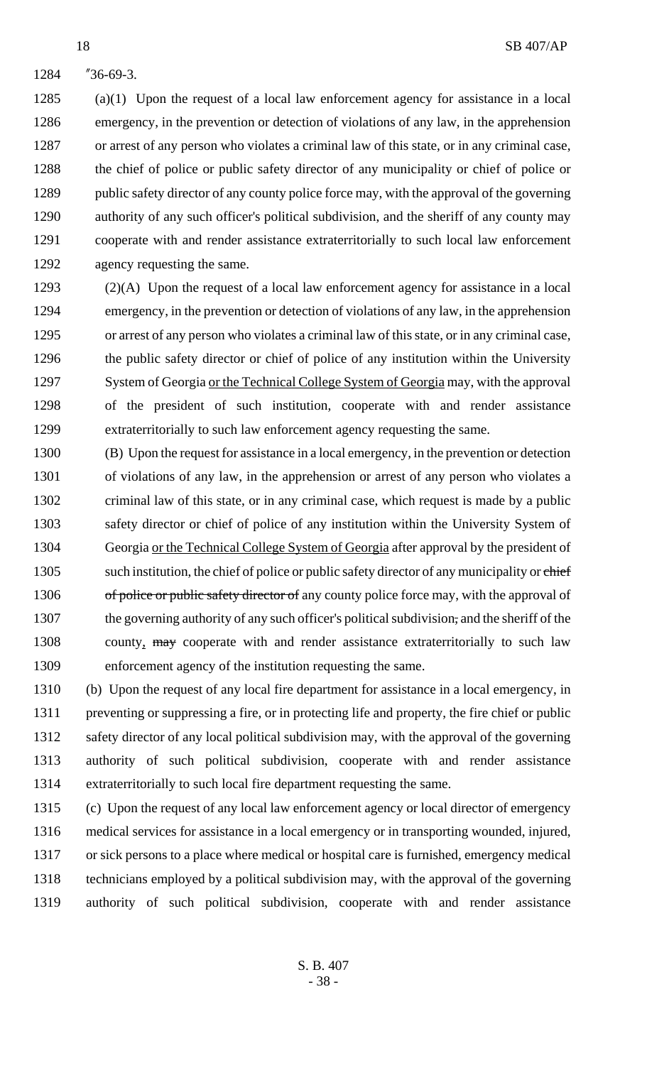"36-69-3.

 (a)(1) Upon the request of a local law enforcement agency for assistance in a local emergency, in the prevention or detection of violations of any law, in the apprehension or arrest of any person who violates a criminal law of this state, or in any criminal case, 1288 the chief of police or public safety director of any municipality or chief of police or 1289 public safety director of any county police force may, with the approval of the governing authority of any such officer's political subdivision, and the sheriff of any county may cooperate with and render assistance extraterritorially to such local law enforcement agency requesting the same.

 (2)(A) Upon the request of a local law enforcement agency for assistance in a local emergency, in the prevention or detection of violations of any law, in the apprehension or arrest of any person who violates a criminal law of this state, or in any criminal case, 1296 the public safety director or chief of police of any institution within the University 1297 System of Georgia or the Technical College System of Georgia may, with the approval of the president of such institution, cooperate with and render assistance extraterritorially to such law enforcement agency requesting the same.

 (B) Upon the request for assistance in a local emergency, in the prevention or detection of violations of any law, in the apprehension or arrest of any person who violates a criminal law of this state, or in any criminal case, which request is made by a public safety director or chief of police of any institution within the University System of Georgia or the Technical College System of Georgia after approval by the president of 1305 such institution, the chief of police or public safety director of any municipality or chief 1306 of police or public safety director of any county police force may, with the approval of the governing authority of any such officer's political subdivision, and the sheriff of the 1308 county, may cooperate with and render assistance extraterritorially to such law enforcement agency of the institution requesting the same.

 (b) Upon the request of any local fire department for assistance in a local emergency, in preventing or suppressing a fire, or in protecting life and property, the fire chief or public 1312 safety director of any local political subdivision may, with the approval of the governing authority of such political subdivision, cooperate with and render assistance extraterritorially to such local fire department requesting the same.

 (c) Upon the request of any local law enforcement agency or local director of emergency medical services for assistance in a local emergency or in transporting wounded, injured, or sick persons to a place where medical or hospital care is furnished, emergency medical technicians employed by a political subdivision may, with the approval of the governing authority of such political subdivision, cooperate with and render assistance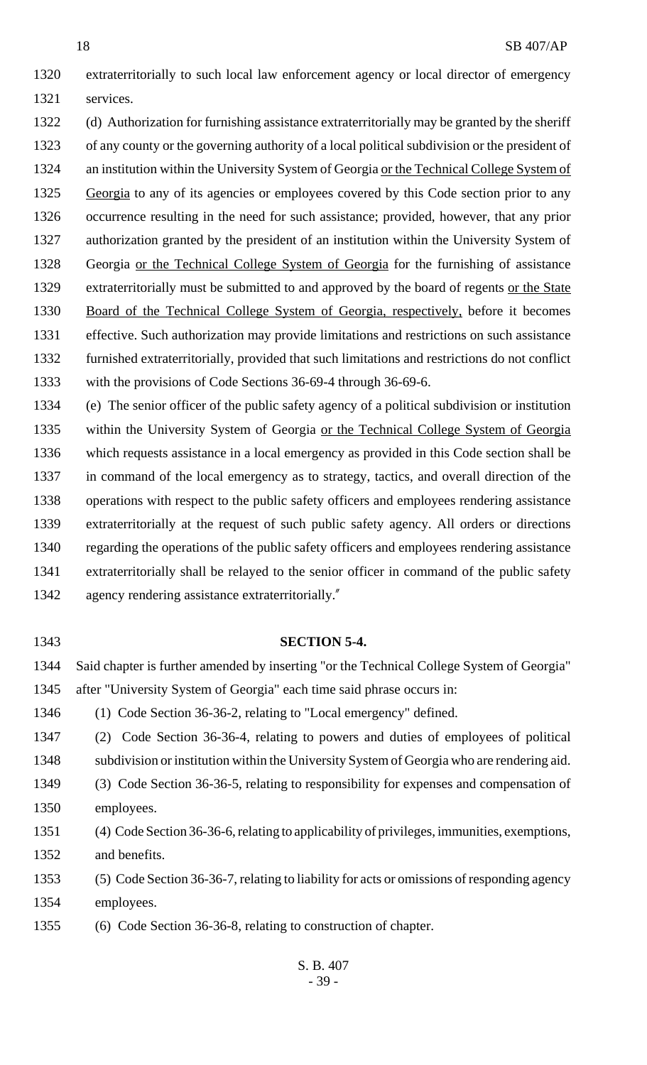extraterritorially to such local law enforcement agency or local director of emergency services.

 (d) Authorization for furnishing assistance extraterritorially may be granted by the sheriff of any county or the governing authority of a local political subdivision or the president of an institution within the University System of Georgia or the Technical College System of 1325 Georgia to any of its agencies or employees covered by this Code section prior to any occurrence resulting in the need for such assistance; provided, however, that any prior authorization granted by the president of an institution within the University System of Georgia or the Technical College System of Georgia for the furnishing of assistance extraterritorially must be submitted to and approved by the board of regents or the State Board of the Technical College System of Georgia, respectively, before it becomes effective. Such authorization may provide limitations and restrictions on such assistance furnished extraterritorially, provided that such limitations and restrictions do not conflict with the provisions of Code Sections 36-69-4 through 36-69-6.

 (e) The senior officer of the public safety agency of a political subdivision or institution within the University System of Georgia or the Technical College System of Georgia which requests assistance in a local emergency as provided in this Code section shall be in command of the local emergency as to strategy, tactics, and overall direction of the operations with respect to the public safety officers and employees rendering assistance extraterritorially at the request of such public safety agency. All orders or directions regarding the operations of the public safety officers and employees rendering assistance extraterritorially shall be relayed to the senior officer in command of the public safety agency rendering assistance extraterritorially."

#### **SECTION 5-4.**

 Said chapter is further amended by inserting "or the Technical College System of Georgia" after "University System of Georgia" each time said phrase occurs in:

(1) Code Section 36-36-2, relating to "Local emergency" defined.

 (2) Code Section 36-36-4, relating to powers and duties of employees of political subdivision or institution within the University System of Georgia who are rendering aid.

 (3) Code Section 36-36-5, relating to responsibility for expenses and compensation of employees.

 (4) Code Section 36-36-6, relating to applicability of privileges, immunities, exemptions, and benefits.

 (5) Code Section 36-36-7, relating to liability for acts or omissions of responding agency employees.

(6) Code Section 36-36-8, relating to construction of chapter.